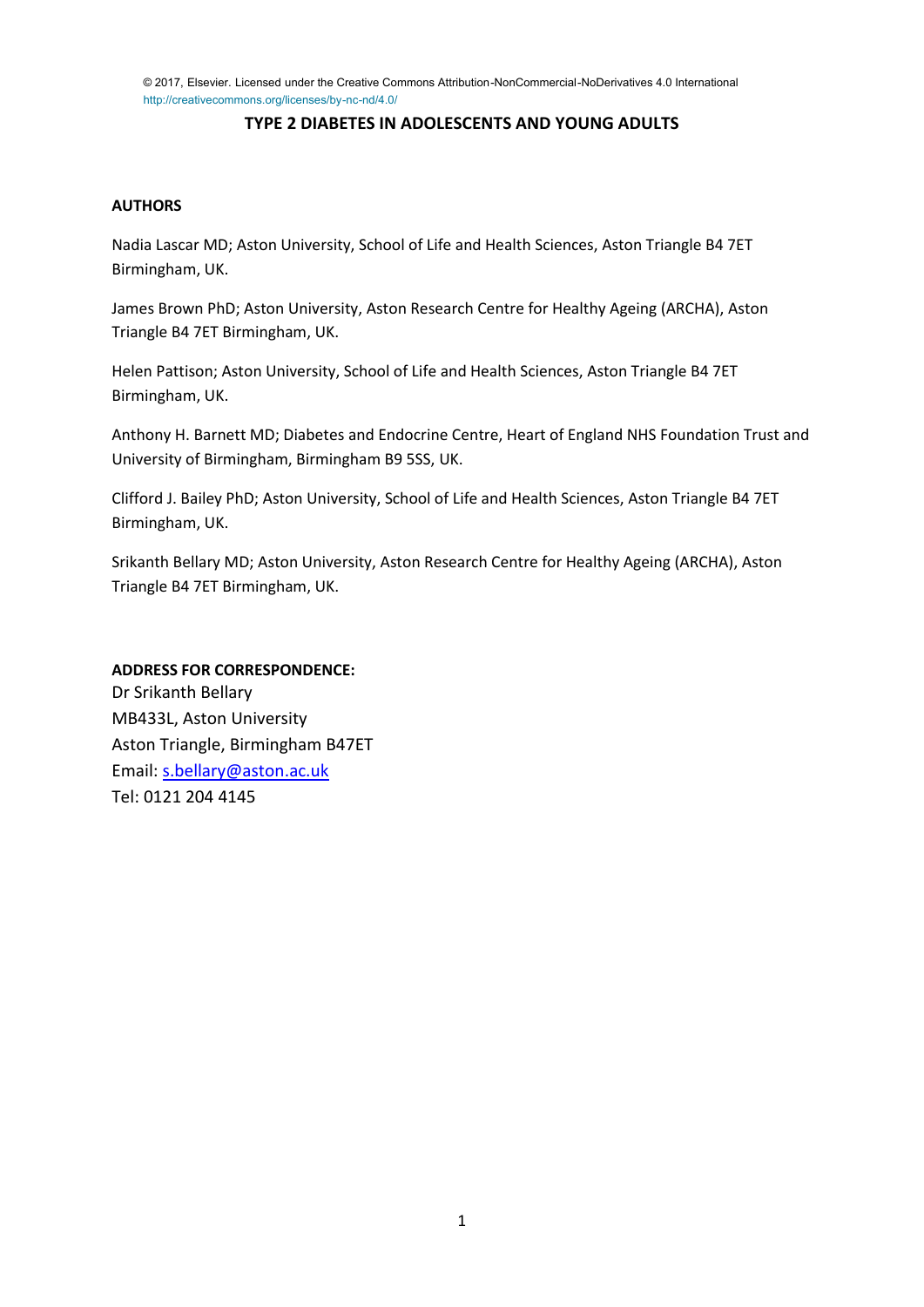© 2017, Elsevier. Licensed under the Creative Commons Attribution-NonCommercial-NoDerivatives 4.0 International http://creativecommons.org/licenses/by-nc-nd/4.0/

# **TYPE 2 DIABETES IN ADOLESCENTS AND YOUNG ADULTS**

## **AUTHORS**

Nadia Lascar MD; Aston University, School of Life and Health Sciences, Aston Triangle B4 7ET Birmingham, UK.

James Brown PhD; Aston University, Aston Research Centre for Healthy Ageing (ARCHA), Aston Triangle B4 7ET Birmingham, UK.

Helen Pattison; Aston University, School of Life and Health Sciences, Aston Triangle B4 7ET Birmingham, UK.

Anthony H. Barnett MD; Diabetes and Endocrine Centre, Heart of England NHS Foundation Trust and University of Birmingham, Birmingham B9 5SS, UK.

Clifford J. Bailey PhD; Aston University, School of Life and Health Sciences, Aston Triangle B4 7ET Birmingham, UK.

Srikanth Bellary MD; Aston University, Aston Research Centre for Healthy Ageing (ARCHA), Aston Triangle B4 7ET Birmingham, UK.

### **ADDRESS FOR CORRESPONDENCE:**

Dr Srikanth Bellary MB433L, Aston University Aston Triangle, Birmingham B47ET Email: [s.bellary@aston.ac.uk](mailto:s.bellary@aston.ac.uk) Tel: 0121 204 4145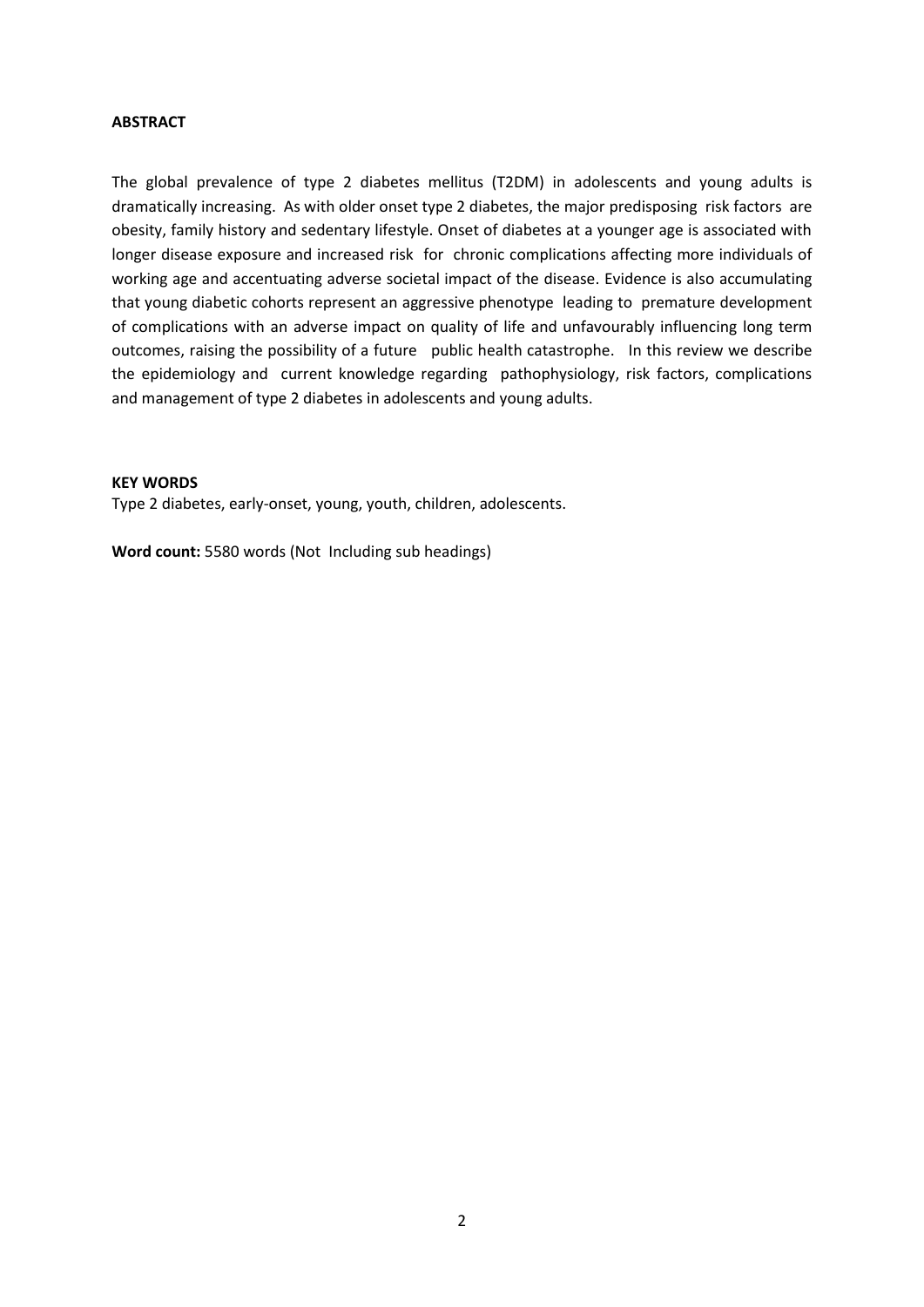### **ABSTRACT**

The global prevalence of type 2 diabetes mellitus (T2DM) in adolescents and young adults is dramatically increasing. As with older onset type 2 diabetes, the major predisposing risk factors are obesity, family history and sedentary lifestyle. Onset of diabetes at a younger age is associated with longer disease exposure and increased risk for chronic complications affecting more individuals of working age and accentuating adverse societal impact of the disease. Evidence is also accumulating that young diabetic cohorts represent an aggressive phenotype leading to premature development of complications with an adverse impact on quality of life and unfavourably influencing long term outcomes, raising the possibility of a future public health catastrophe. In this review we describe the epidemiology and current knowledge regarding pathophysiology, risk factors, complications and management of type 2 diabetes in adolescents and young adults.

#### **KEY WORDS**

Type 2 diabetes, early-onset, young, youth, children, adolescents.

**Word count:** 5580 words (Not Including sub headings)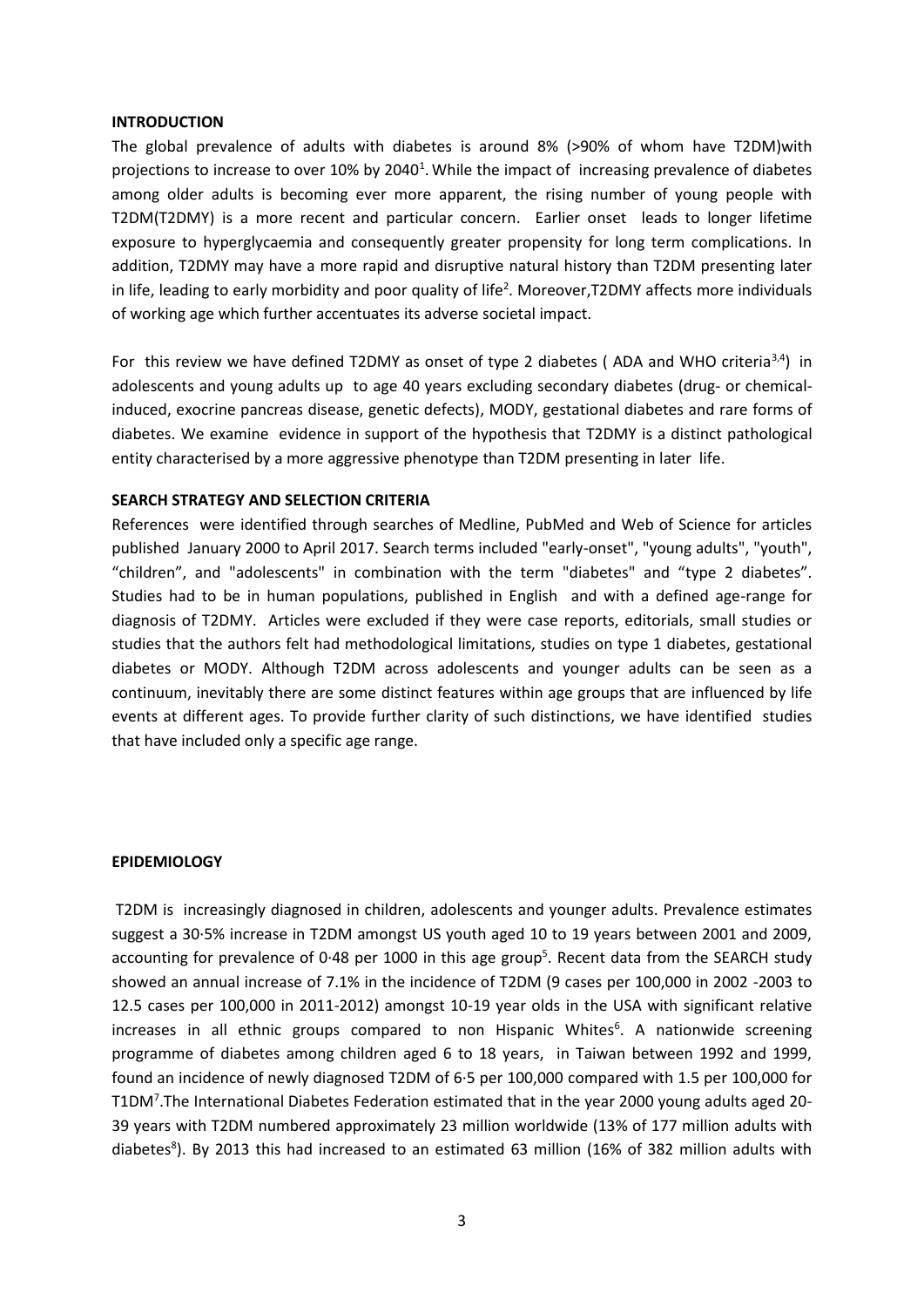#### **INTRODUCTION**

The global prevalence of adults with diabetes is around 8% (>90% of whom have T2DM)with projections to increase to over 10% by 2040<sup>1</sup>. While the impact of increasing prevalence of diabetes among older adults is becoming ever more apparent, the rising number of young people with T2DM(T2DMY) is a more recent and particular concern. Earlier onset leads to longer lifetime exposure to hyperglycaemia and consequently greater propensity for long term complications. In addition, T2DMY may have a more rapid and disruptive natural history than T2DM presenting later in life, leading to early morbidity and poor quality of life<sup>2</sup>. Moreover, T2DMY affects more individuals of working age which further accentuates its adverse societal impact.

For this review we have defined T2DMY as onset of type 2 diabetes (ADA and WHO criteria<sup>3,4</sup>) in adolescents and young adults up to age 40 years excluding secondary diabetes (drug- or chemicalinduced, exocrine pancreas disease, genetic defects), MODY, gestational diabetes and rare forms of diabetes. We examine evidence in support of the hypothesis that T2DMY is a distinct pathological entity characterised by a more aggressive phenotype than T2DM presenting in later life.

### **SEARCH STRATEGY AND SELECTION CRITERIA**

References were identified through searches of Medline, PubMed and Web of Science for articles published January 2000 to April 2017. Search terms included "early-onset", "young adults", "youth", "children", and "adolescents" in combination with the term "diabetes" and "type 2 diabetes". Studies had to be in human populations, published in English and with a defined age-range for diagnosis of T2DMY. Articles were excluded if they were case reports, editorials, small studies or studies that the authors felt had methodological limitations, studies on type 1 diabetes, gestational diabetes or MODY. Although T2DM across adolescents and younger adults can be seen as a continuum, inevitably there are some distinct features within age groups that are influenced by life events at different ages. To provide further clarity of such distinctions, we have identified studies that have included only a specific age range.

#### **EPIDEMIOLOGY**

T2DM is increasingly diagnosed in children, adolescents and younger adults. Prevalence estimates suggest a 30·5% increase in T2DM amongst US youth aged 10 to 19 years between 2001 and 2009, accounting for prevalence of 0.48 per 1000 in this age group<sup>5</sup>. Recent data from the SEARCH study showed an annual increase of 7.1% in the incidence of T2DM (9 cases per 100,000 in 2002 -2003 to 12.5 cases per 100,000 in 2011-2012) amongst 10-19 year olds in the USA with significant relative increases in all ethnic groups compared to non Hispanic Whites<sup>6</sup>. A nationwide screening programme of diabetes among children aged 6 to 18 years, in Taiwan between 1992 and 1999, found an incidence of newly diagnosed T2DM of 6·5 per 100,000 compared with 1.5 per 100,000 for T1DM<sup>7</sup> .The International Diabetes Federation estimated that in the year 2000 young adults aged 20- 39 years with T2DM numbered approximately 23 million worldwide (13% of 177 million adults with diabetes<sup>8</sup>). By 2013 this had increased to an estimated 63 million (16% of 382 million adults with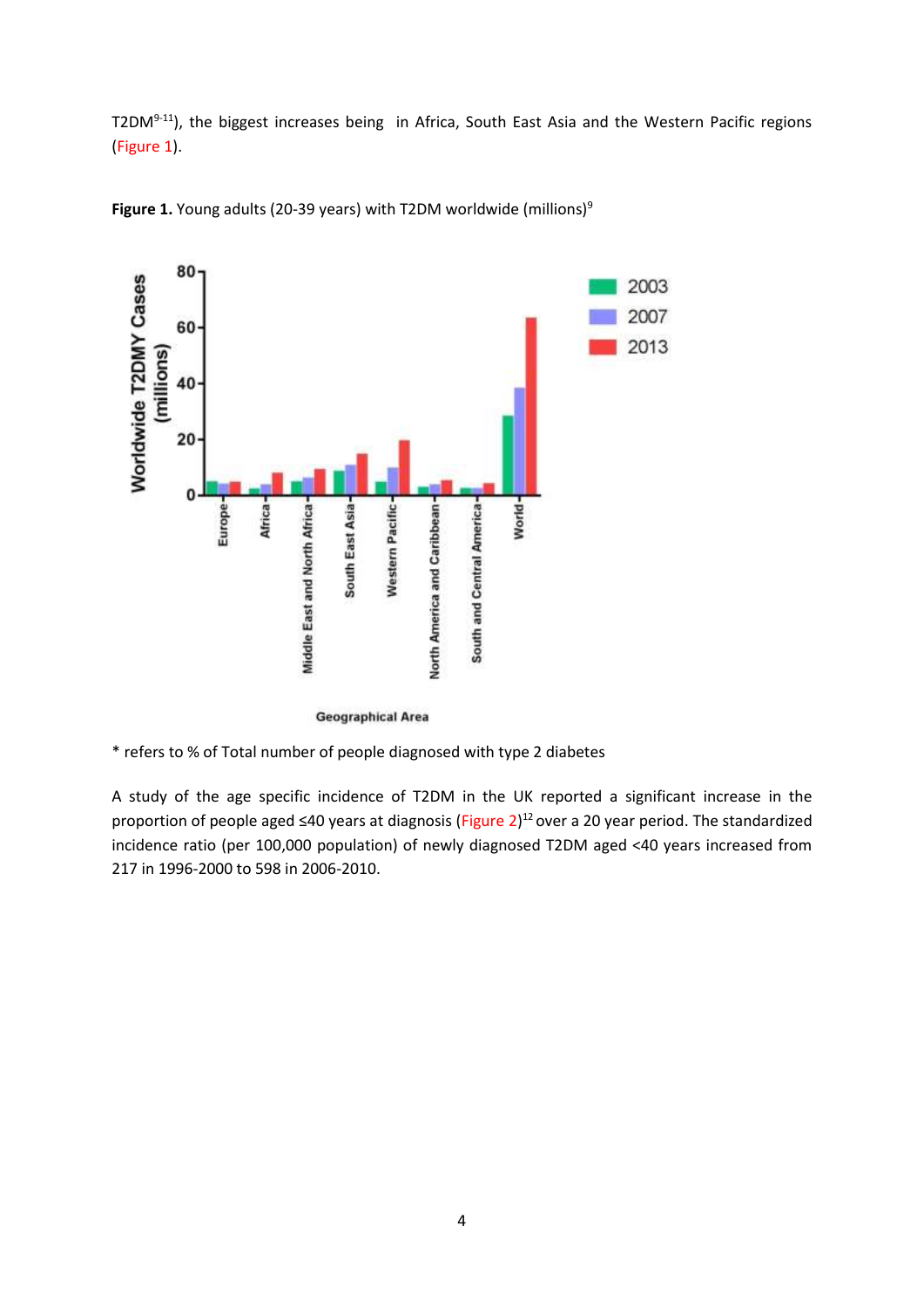T2DM<sup>9-11</sup>), the biggest increases being in Africa, South East Asia and the Western Pacific regions (Figure 1).



Figure 1. Young adults (20-39 years) with T2DM worldwide (millions)<sup>9</sup>

A study of the age specific incidence of T2DM in the UK reported a significant increase in the proportion of people aged ≤40 years at diagnosis (Figure 2)<sup>12</sup> over a 20 year period. The standardized incidence ratio (per 100,000 population) of newly diagnosed T2DM aged <40 years increased from 217 in 1996-2000 to 598 in 2006-2010.

**Geographical Area** 

<sup>\*</sup> refers to % of Total number of people diagnosed with type 2 diabetes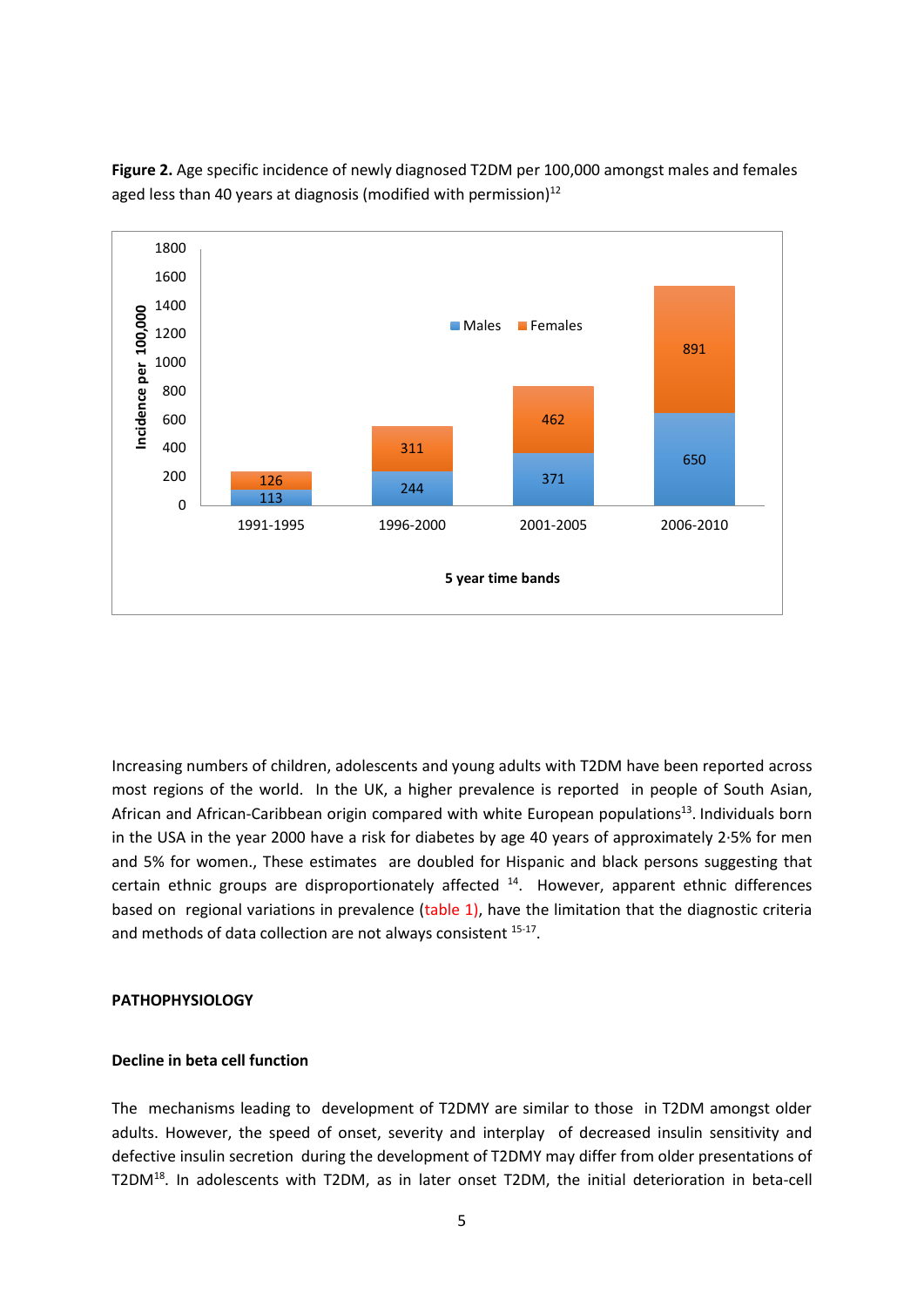

**Figure 2.** Age specific incidence of newly diagnosed T2DM per 100,000 amongst males and females aged less than 40 years at diagnosis (modified with permission) $12$ 

Increasing numbers of children, adolescents and young adults with T2DM have been reported across most regions of the world. In the UK, a higher prevalence is reported in people of South Asian, African and African-Caribbean origin compared with white European populations<sup>13</sup>. Individuals born in the USA in the year 2000 have a risk for diabetes by age 40 years of approximately 2·5% for men and 5% for women., These estimates are doubled for Hispanic and black persons suggesting that certain ethnic groups are disproportionately affected <sup>14</sup>. However, apparent ethnic differences based on regional variations in prevalence (table 1), have the limitation that the diagnostic criteria and methods of data collection are not always consistent <sup>15-17</sup>.

### **PATHOPHYSIOLOGY**

## **Decline in beta cell function**

The mechanisms leading to development of T2DMY are similar to those in T2DM amongst older adults. However, the speed of onset, severity and interplay of decreased insulin sensitivity and defective insulin secretion during the development of T2DMY may differ from older presentations of T2DM<sup>18</sup>. In adolescents with T2DM, as in later onset T2DM, the initial deterioration in beta-cell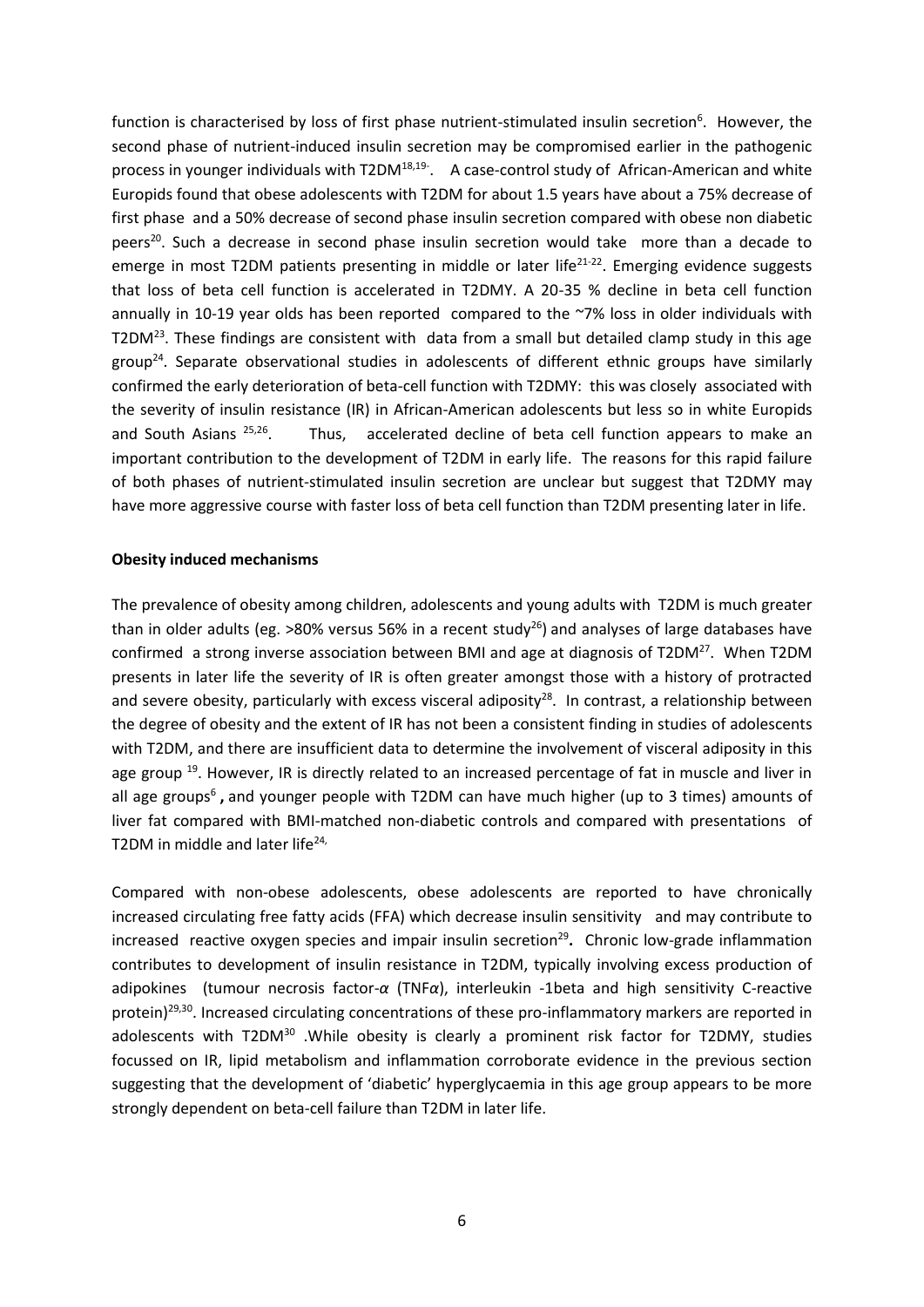function is characterised by loss of first phase nutrient-stimulated insulin secretion<sup>6</sup>. However, the second phase of nutrient-induced insulin secretion may be compromised earlier in the pathogenic process in younger individuals with T2DM<sup>18,19-</sup>. A case-control study of African-American and white Europids found that obese adolescents with T2DM for about 1.5 years have about a 75% decrease of first phase and a 50% decrease of second phase insulin secretion compared with obese non diabetic peers<sup>20</sup>. Such a decrease in second phase insulin secretion would take more than a decade to emerge in most T2DM patients presenting in middle or later life<sup>21-22</sup>. Emerging evidence suggests that loss of beta cell function is accelerated in T2DMY. A 20-35 % decline in beta cell function annually in 10-19 year olds has been reported compared to the ~7% loss in older individuals with T2DM<sup>23</sup>. These findings are consistent with data from a small but detailed clamp study in this age group<sup>24</sup>. Separate observational studies in adolescents of different ethnic groups have similarly confirmed the early deterioration of beta-cell function with T2DMY: this was closely associated with the severity of insulin resistance (IR) in African-American adolescents but less so in white Europids and South Asians 25,26 . Thus, accelerated decline of beta cell function appears to make an important contribution to the development of T2DM in early life. The reasons for this rapid failure of both phases of nutrient-stimulated insulin secretion are unclear but suggest that T2DMY may have more aggressive course with faster loss of beta cell function than T2DM presenting later in life.

### **Obesity induced mechanisms**

The prevalence of obesity among children, adolescents and young adults with T2DM is much greater than in older adults (eg. >80% versus 56% in a recent study<sup>26</sup>) and analyses of large databases have confirmed a strong inverse association between BMI and age at diagnosis of T2DM<sup>27</sup>. When T2DM presents in later life the severity of IR is often greater amongst those with a history of protracted and severe obesity, particularly with excess visceral adiposity<sup>28</sup>. In contrast, a relationship between the degree of obesity and the extent of IR has not been a consistent finding in studies of adolescents with T2DM, and there are insufficient data to determine the involvement of visceral adiposity in this age group<sup>19</sup>. However, IR is directly related to an increased percentage of fat in muscle and liver in all age groups<sup>6</sup>, and younger people with T2DM can have much higher (up to 3 times) amounts of liver fat compared with BMI-matched non-diabetic controls and compared with presentations of T2DM in middle and later life $24$ ,

Compared with non-obese adolescents, obese adolescents are reported to have chronically increased circulating free fatty acids (FFA) which decrease insulin sensitivity and may contribute to increased reactive oxygen species and impair insulin secretion<sup>29</sup>. Chronic low-grade inflammation contributes to development of insulin resistance in T2DM, typically involving excess production of adipokines (tumour necrosis factor-*α* (TNF*α*), interleukin -1beta and high sensitivity C-reactive protein)<sup>29,30</sup>. Increased circulating concentrations of these pro-inflammatory markers are reported in adolescents with T2DM<sup>30</sup> .While obesity is clearly a prominent risk factor for T2DMY, studies focussed on IR, lipid metabolism and inflammation corroborate evidence in the previous section suggesting that the development of 'diabetic' hyperglycaemia in this age group appears to be more strongly dependent on beta-cell failure than T2DM in later life.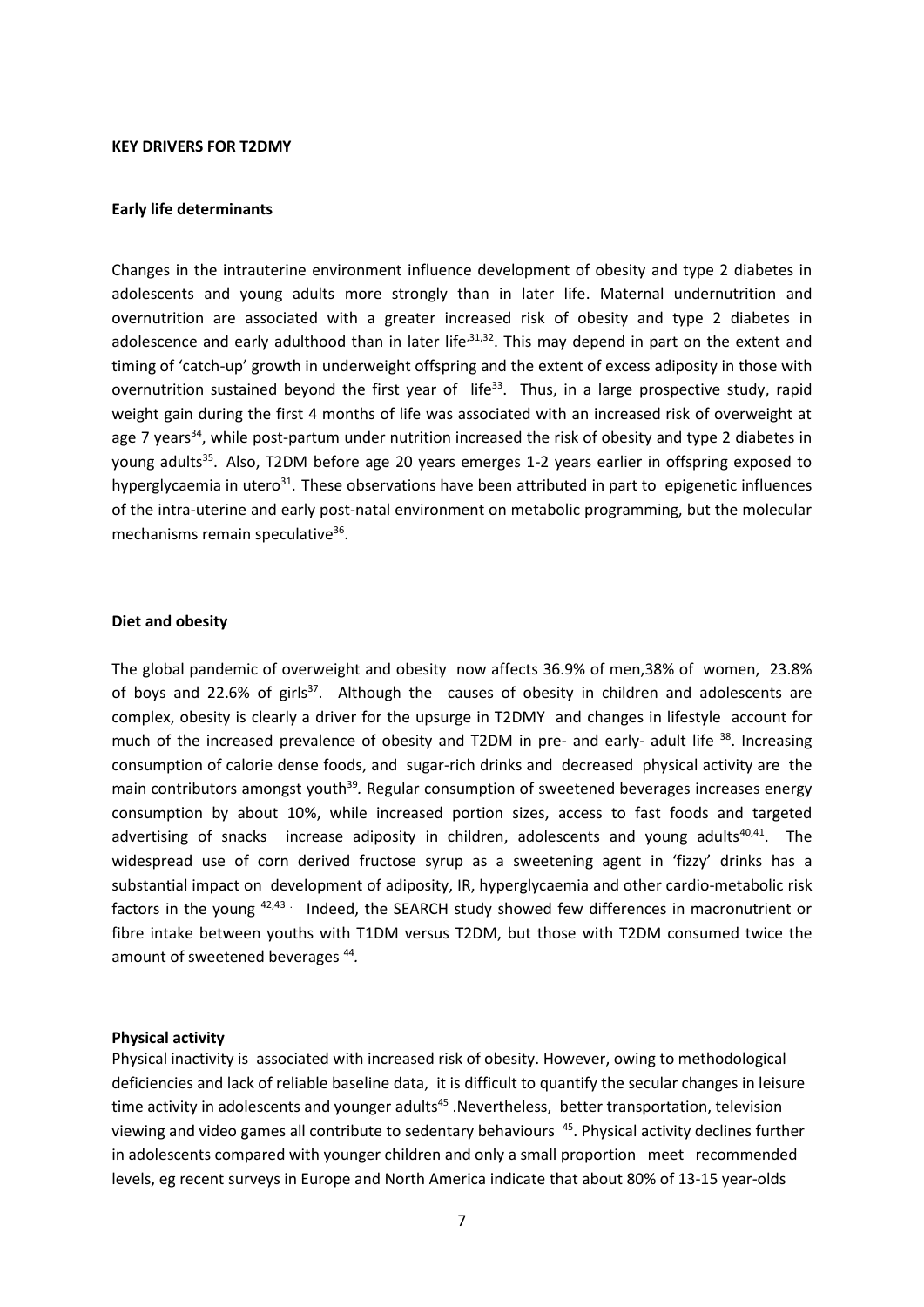### **KEY DRIVERS FOR T2DMY**

### **Early life determinants**

Changes in the intrauterine environment influence development of obesity and type 2 diabetes in adolescents and young adults more strongly than in later life. Maternal undernutrition and overnutrition are associated with a greater increased risk of obesity and type 2 diabetes in adolescence and early adulthood than in later life<sup>,31,32</sup>. This may depend in part on the extent and timing of 'catch-up' growth in underweight offspring and the extent of excess adiposity in those with overnutrition sustained beyond the first year of life<sup>33</sup>. Thus, in a large prospective study, rapid weight gain during the first 4 months of life was associated with an increased risk of overweight at age 7 years<sup>34</sup>, while post-partum under nutrition increased the risk of obesity and type 2 diabetes in young adults<sup>35</sup>. Also, T2DM before age 20 years emerges 1-2 years earlier in offspring exposed to hyperglycaemia in utero<sup>31</sup>. These observations have been attributed in part to epigenetic influences of the intra-uterine and early post-natal environment on metabolic programming, but the molecular mechanisms remain speculative<sup>36</sup>.

### **Diet and obesity**

The global pandemic of overweight and obesity now affects 36.9% of men,38% of women, 23.8% of boys and 22.6% of girls<sup>37</sup>. Although the causes of obesity in children and adolescents are complex, obesity is clearly a driver for the upsurge in T2DMY and changes in lifestyle account for much of the increased prevalence of obesity and T2DM in pre- and early- adult life <sup>38</sup>. Increasing consumption of calorie dense foods, and sugar-rich drinks and decreased physical activity are the main contributors amongst youth<sup>39</sup>. Regular consumption of sweetened beverages increases energy consumption by about 10%, while increased portion sizes, access to fast foods and targeted advertising of snacks increase adiposity in children, adolescents and young adults<sup>40,41</sup>. The widespread use of corn derived fructose syrup as a sweetening agent in 'fizzy' drinks has a substantial impact on development of adiposity, IR, hyperglycaemia and other cardio-metabolic risk factors in the young  $42,43$ . Indeed, the SEARCH study showed few differences in macronutrient or fibre intake between youths with T1DM versus T2DM, but those with T2DM consumed twice the amount of sweetened beverages <sup>44</sup> *.* 

### **Physical activity**

Physical inactivity is associated with increased risk of obesity. However, owing to methodological deficiencies and lack of reliable baseline data, it is difficult to quantify the secular changes in leisure time activity in adolescents and younger adults<sup>45</sup> .Nevertheless, better transportation, television viewing and video games all contribute to sedentary behaviours <sup>45</sup>. Physical activity declines further in adolescents compared with younger children and only a small proportion meet recommended levels, eg recent surveys in Europe and North America indicate that about 80% of 13-15 year-olds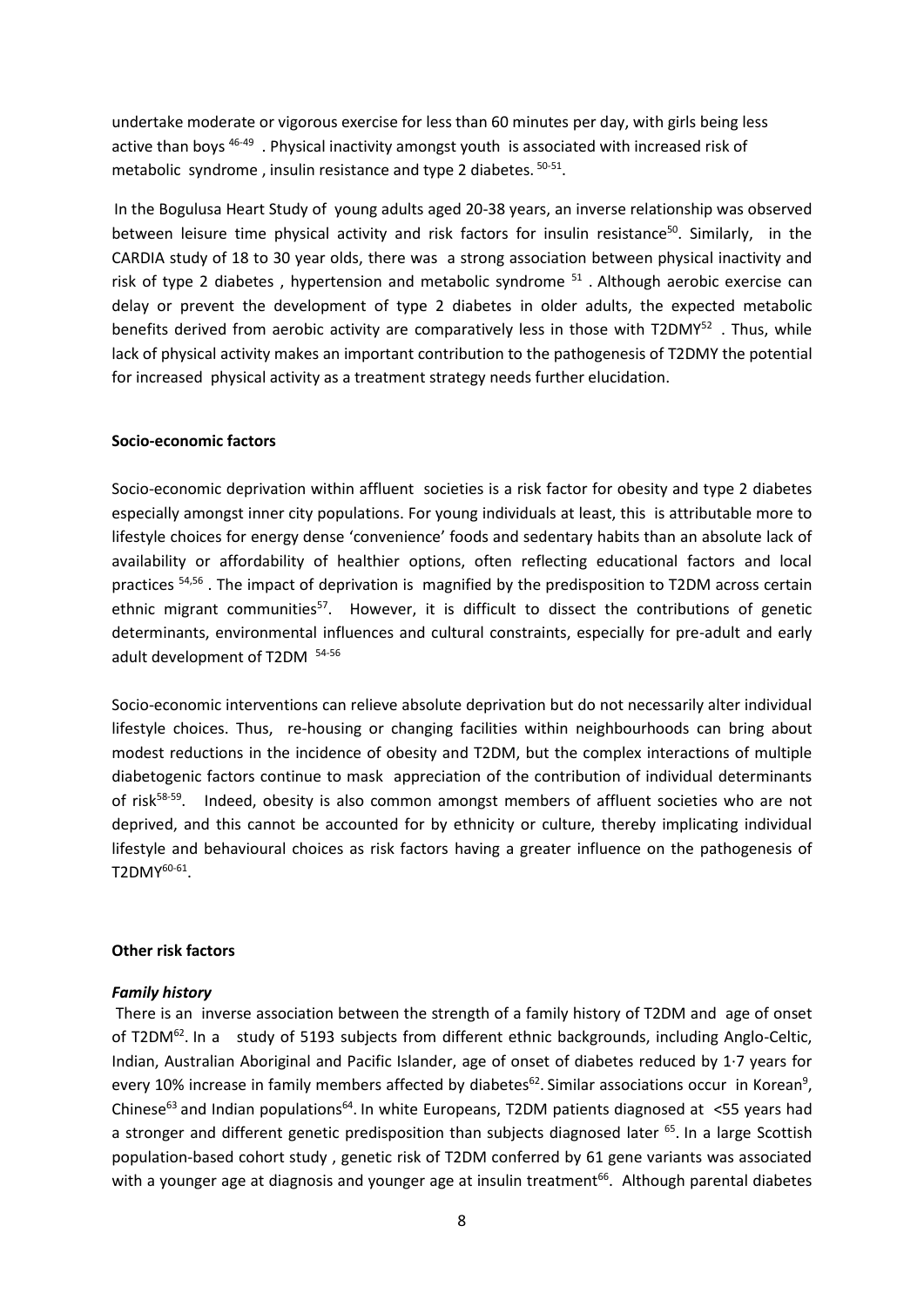undertake moderate or vigorous exercise for less than 60 minutes per day, with girls being less active than boys <sup>46-49</sup>. Physical inactivity amongst youth is associated with increased risk of metabolic syndrome, insulin resistance and type 2 diabetes.  $50-51$ .

In the Bogulusa Heart Study of young adults aged 20-38 years, an inverse relationship was observed between leisure time physical activity and risk factors for insulin resistance<sup>50</sup>. Similarly, in the CARDIA study of 18 to 30 year olds, there was a strong association between physical inactivity and risk of type 2 diabetes, hypertension and metabolic syndrome <sup>51</sup>. Although aerobic exercise can delay or prevent the development of type 2 diabetes in older adults, the expected metabolic benefits derived from aerobic activity are comparatively less in those with T2DMY<sup>52</sup>. Thus, while lack of physical activity makes an important contribution to the pathogenesis of T2DMY the potential for increased physical activity as a treatment strategy needs further elucidation.

#### **Socio-economic factors**

Socio-economic deprivation within affluent societies is a risk factor for obesity and type 2 diabetes especially amongst inner city populations. For young individuals at least, this is attributable more to lifestyle choices for energy dense 'convenience' foods and sedentary habits than an absolute lack of availability or affordability of healthier options, often reflecting educational factors and local practices <sup>54,56</sup>. The impact of deprivation is magnified by the predisposition to T2DM across certain ethnic migrant communities<sup>57</sup>. However, it is difficult to dissect the contributions of genetic determinants, environmental influences and cultural constraints, especially for pre-adult and early adult development of T2DM <sup>54-56</sup>

Socio-economic interventions can relieve absolute deprivation but do not necessarily alter individual lifestyle choices. Thus, re-housing or changing facilities within neighbourhoods can bring about modest reductions in the incidence of obesity and T2DM, but the complex interactions of multiple diabetogenic factors continue to mask appreciation of the contribution of individual determinants of risk<sup>58-59</sup>. Indeed, obesity is also common amongst members of affluent societies who are not deprived, and this cannot be accounted for by ethnicity or culture, thereby implicating individual lifestyle and behavioural choices as risk factors having a greater influence on the pathogenesis of  $T2DMY^{60-61}$ .

### **Other risk factors**

#### *Family history*

There is an inverse association between the strength of a family history of T2DM and age of onset of T2DM<sup>62</sup>. In a study of 5193 subjects from different ethnic backgrounds, including Anglo-Celtic, Indian, Australian Aboriginal and Pacific Islander, age of onset of diabetes reduced by 1·7 years for every 10% increase in family members affected by diabetes<sup>62</sup>. Similar associations occur in Korean<sup>9</sup>, Chinese<sup>63</sup> and Indian populations<sup>64</sup>. In white Europeans, T2DM patients diagnosed at <55 years had a stronger and different genetic predisposition than subjects diagnosed later <sup>65</sup>. In a large Scottish population-based cohort study , genetic risk of T2DM conferred by 61 gene variants was associated with a younger age at diagnosis and younger age at insulin treatment<sup>66</sup>. Although parental diabetes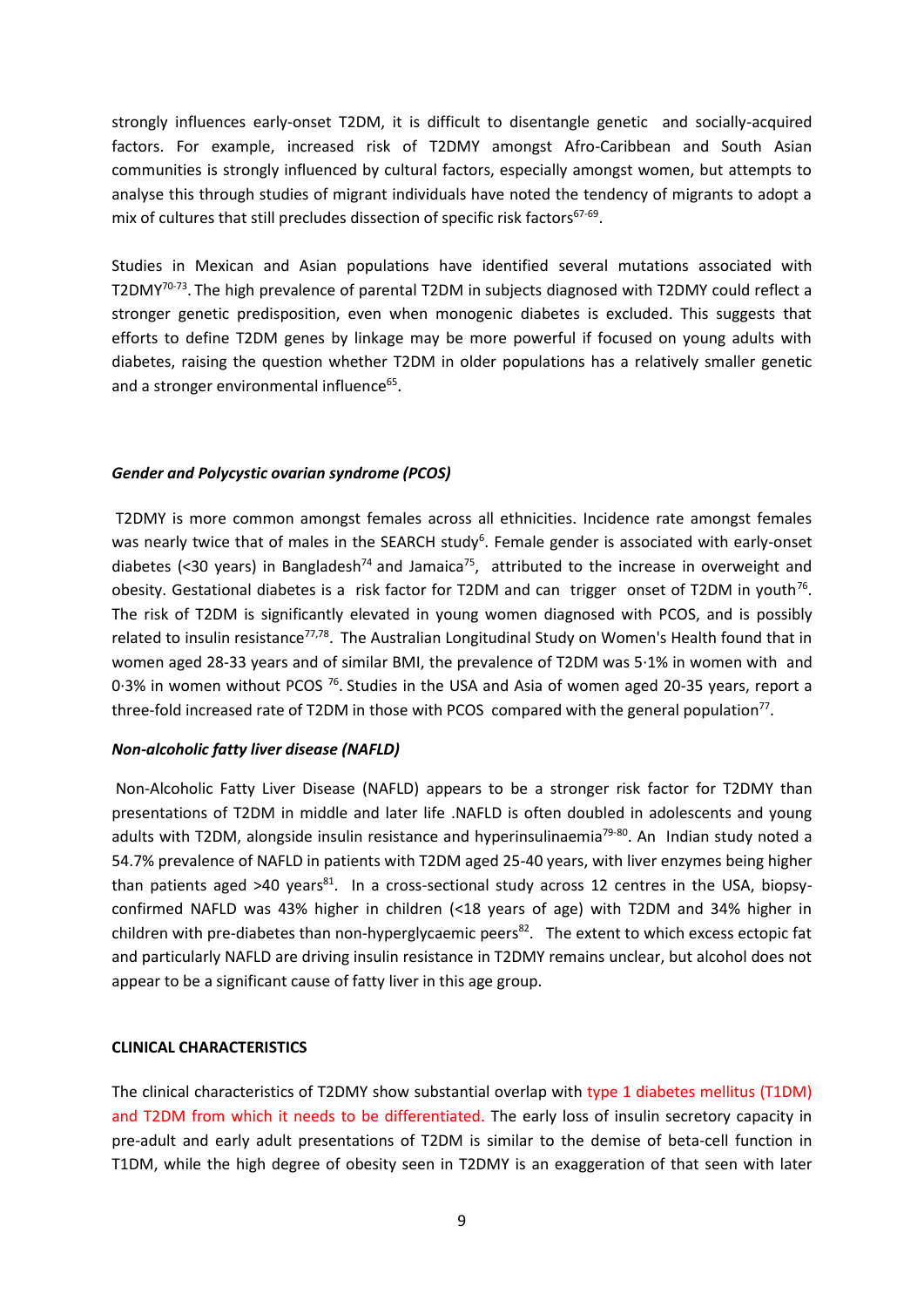strongly influences early-onset T2DM, it is difficult to disentangle genetic and socially-acquired factors. For example, increased risk of T2DMY amongst Afro-Caribbean and South Asian communities is strongly influenced by cultural factors, especially amongst women, but attempts to analyse this through studies of migrant individuals have noted the tendency of migrants to adopt a mix of cultures that still precludes dissection of specific risk factors $67-69$ .

Studies in Mexican and Asian populations have identified several mutations associated with T2DMY<sup>70-73</sup>. The high prevalence of parental T2DM in subjects diagnosed with T2DMY could reflect a stronger genetic predisposition, even when monogenic diabetes is excluded. This suggests that efforts to define T2DM genes by linkage may be more powerful if focused on young adults with diabetes, raising the question whether T2DM in older populations has a relatively smaller genetic and a stronger environmental influence<sup>65</sup>.

### *Gender and Polycystic ovarian syndrome (PCOS)*

T2DMY is more common amongst females across all ethnicities. Incidence rate amongst females was nearly twice that of males in the SEARCH study<sup>6</sup>. Female gender is associated with early-onset diabetes (<30 years) in Bangladesh<sup>74</sup> and Jamaica<sup>75</sup>, attributed to the increase in overweight and obesity. Gestational diabetes is a risk factor for T2DM and can trigger onset of T2DM in youth<sup>76</sup>. The risk of T2DM is significantly elevated in young women diagnosed with PCOS, and is possibly related to insulin resistance<sup>77,78</sup>. The Australian Longitudinal Study on Women's Health found that in women aged 28-33 years and of similar BMI, the prevalence of T2DM was 5·1% in women with and 0.3% in women without PCOS <sup>76</sup>. Studies in the USA and Asia of women aged 20-35 years, report a three-fold increased rate of T2DM in those with PCOS compared with the general population<sup>77</sup>.

### *Non-alcoholic fatty liver disease (NAFLD)*

Non-Alcoholic Fatty Liver Disease (NAFLD) appears to be a stronger risk factor for T2DMY than presentations of T2DM in middle and later life .NAFLD is often doubled in adolescents and young adults with T2DM, alongside insulin resistance and hyperinsulinaemia<sup>79-80</sup>. An Indian study noted a 54.7% prevalence of NAFLD in patients with T2DM aged 25-40 years, with liver enzymes being higher than patients aged >40 years $81$ . In a cross-sectional study across 12 centres in the USA, biopsyconfirmed NAFLD was 43% higher in children (<18 years of age) with T2DM and 34% higher in children with pre-diabetes than non-hyperglycaemic peers<sup>82</sup>. The extent to which excess ectopic fat and particularly NAFLD are driving insulin resistance in T2DMY remains unclear, but alcohol does not appear to be a significant cause of fatty liver in this age group.

## **CLINICAL CHARACTERISTICS**

The clinical characteristics of T2DMY show substantial overlap with type 1 diabetes mellitus (T1DM) and T2DM from which it needs to be differentiated. The early loss of insulin secretory capacity in pre-adult and early adult presentations of T2DM is similar to the demise of beta-cell function in T1DM, while the high degree of obesity seen in T2DMY is an exaggeration of that seen with later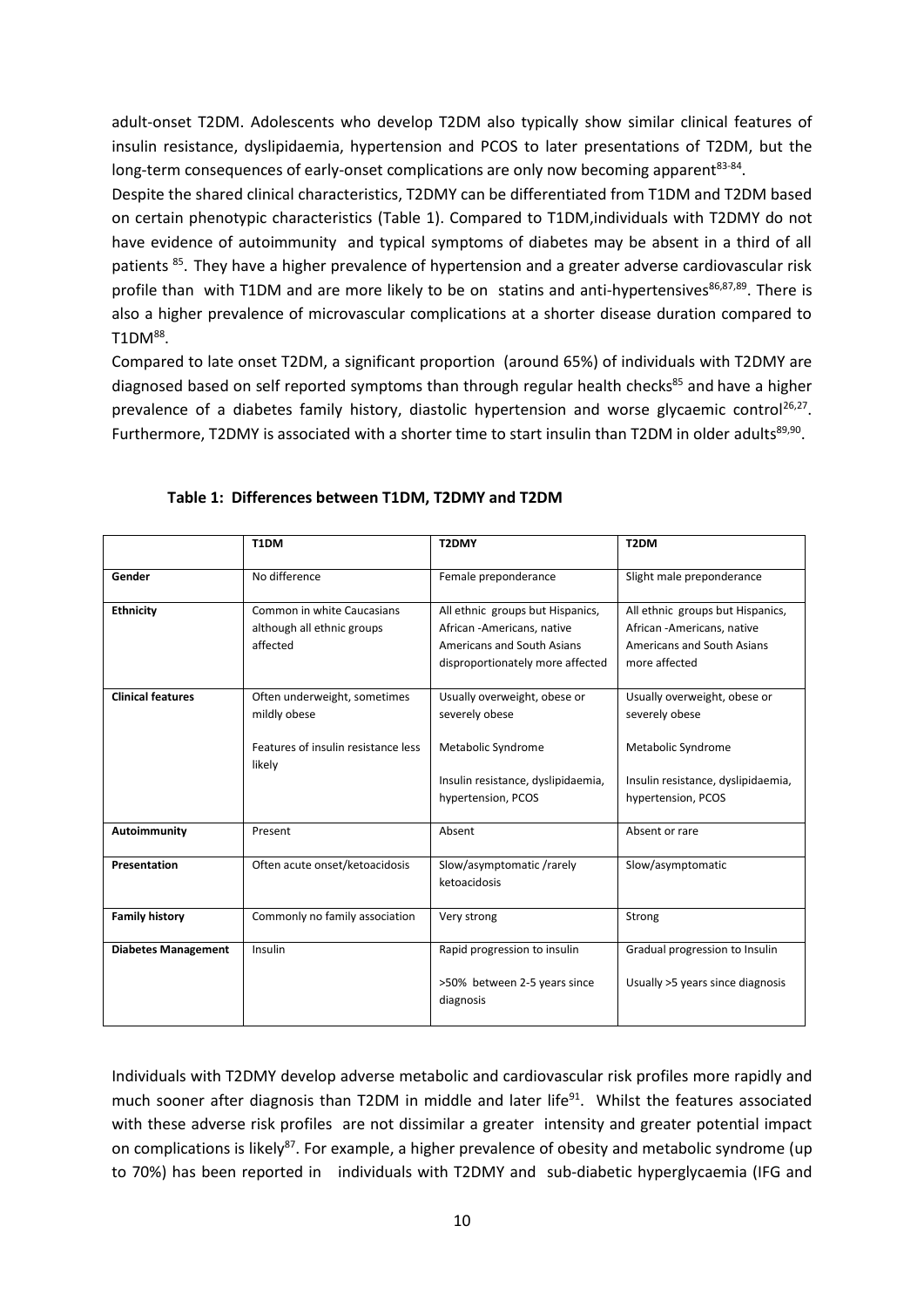adult-onset T2DM. Adolescents who develop T2DM also typically show similar clinical features of insulin resistance, dyslipidaemia, hypertension and PCOS to later presentations of T2DM, but the long-term consequences of early-onset complications are only now becoming apparent<sup>83-84</sup>.

Despite the shared clinical characteristics, T2DMY can be differentiated from T1DM and T2DM based on certain phenotypic characteristics (Table 1). Compared to T1DM,individuals with T2DMY do not have evidence of autoimmunity and typical symptoms of diabetes may be absent in a third of all patients <sup>85</sup>. They have a higher prevalence of hypertension and a greater adverse cardiovascular risk profile than with T1DM and are more likely to be on statins and anti-hypertensives $86,87,89$ . There is also a higher prevalence of microvascular complications at a shorter disease duration compared to  $T1DM^{88}$ .

Compared to late onset T2DM, a significant proportion (around 65%) of individuals with T2DMY are diagnosed based on self reported symptoms than through regular health checks <sup>85</sup> and have a higher prevalence of a diabetes family history, diastolic hypertension and worse glycaemic control<sup>26,27</sup>. Furthermore, T2DMY is associated with a shorter time to start insulin than T2DM in older adults<sup>89,90</sup>.

|                            | T1DM                                                                                          | T2DMY                                                                                                                             | T <sub>2</sub> DM                                                                                                                |
|----------------------------|-----------------------------------------------------------------------------------------------|-----------------------------------------------------------------------------------------------------------------------------------|----------------------------------------------------------------------------------------------------------------------------------|
| Gender                     | No difference                                                                                 | Female preponderance                                                                                                              | Slight male preponderance                                                                                                        |
| <b>Ethnicity</b>           | Common in white Caucasians<br>although all ethnic groups<br>affected                          | All ethnic groups but Hispanics,<br>African - Americans, native<br>Americans and South Asians<br>disproportionately more affected | All ethnic groups but Hispanics,<br>African - Americans, native<br>Americans and South Asians<br>more affected                   |
| <b>Clinical features</b>   | Often underweight, sometimes<br>mildly obese<br>Features of insulin resistance less<br>likely | Usually overweight, obese or<br>severely obese<br>Metabolic Syndrome<br>Insulin resistance, dyslipidaemia,<br>hypertension, PCOS  | Usually overweight, obese or<br>severely obese<br>Metabolic Syndrome<br>Insulin resistance, dyslipidaemia,<br>hypertension, PCOS |
| Autoimmunity               | Present                                                                                       | Absent                                                                                                                            | Absent or rare                                                                                                                   |
| Presentation               | Often acute onset/ketoacidosis                                                                | Slow/asymptomatic/rarely<br>ketoacidosis                                                                                          | Slow/asymptomatic                                                                                                                |
| <b>Family history</b>      | Commonly no family association                                                                | Very strong                                                                                                                       | Strong                                                                                                                           |
| <b>Diabetes Management</b> | Insulin                                                                                       | Rapid progression to insulin<br>>50% between 2-5 years since<br>diagnosis                                                         | Gradual progression to Insulin<br>Usually >5 years since diagnosis                                                               |

## **Table 1: Differences between T1DM, T2DMY and T2DM**

Individuals with T2DMY develop adverse metabolic and cardiovascular risk profiles more rapidly and much sooner after diagnosis than T2DM in middle and later life<sup>91</sup>. Whilst the features associated with these adverse risk profiles are not dissimilar a greater intensity and greater potential impact on complications is likely<sup>87</sup>. For example, a higher prevalence of obesity and metabolic syndrome (up to 70%) has been reported in individuals with T2DMY and sub-diabetic hyperglycaemia (IFG and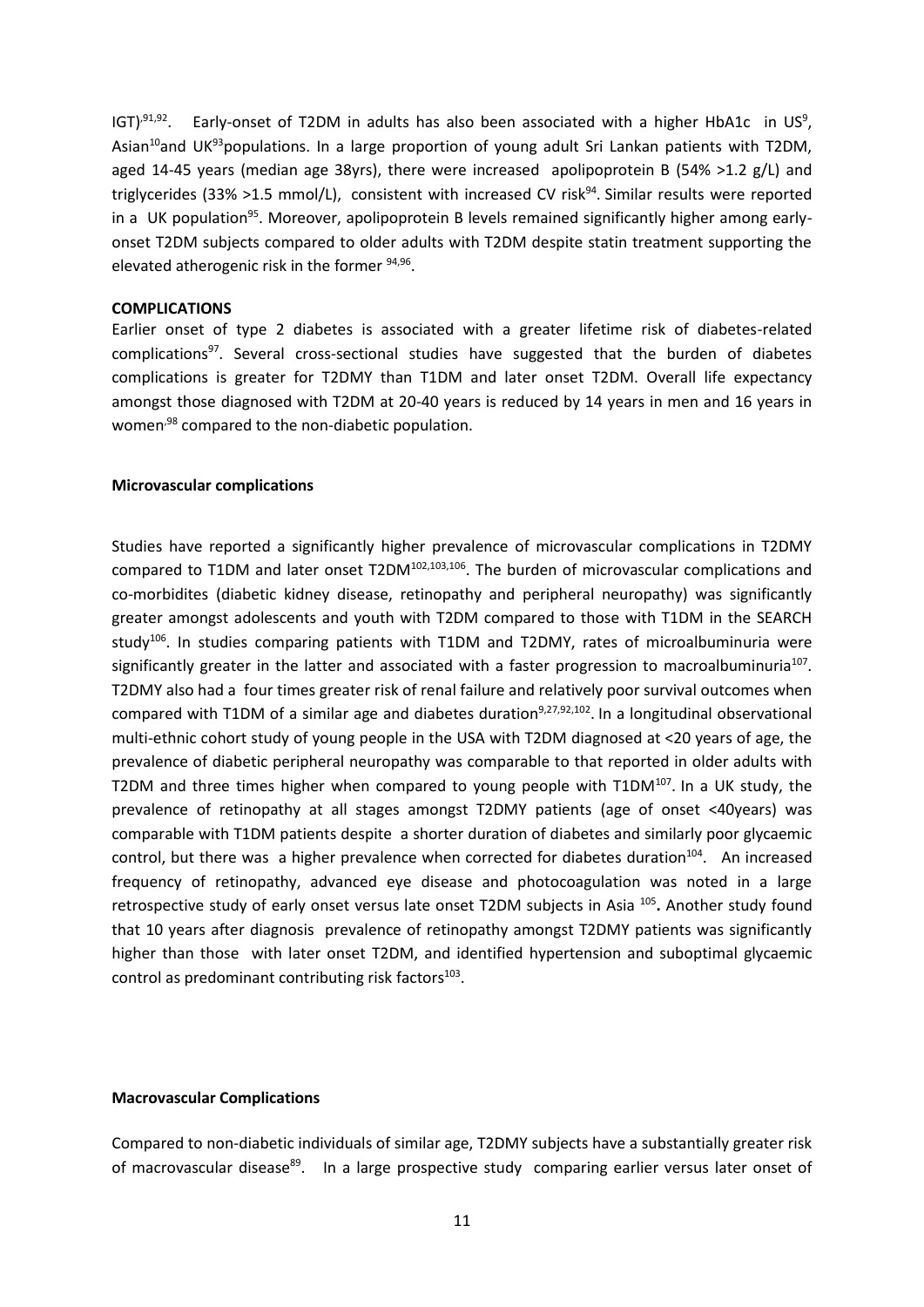IGT)<sup>,91,92</sup>. Early-onset of T2DM in adults has also been associated with a higher HbA1c in US<sup>9</sup>, Asian<sup>10</sup>and UK<sup>93</sup>populations. In a large proportion of young adult Sri Lankan patients with T2DM, aged 14-45 years (median age 38yrs), there were increased apolipoprotein B (54% >1.2  $g/L$ ) and triglycerides (33% >1.5 mmol/L), consistent with increased CV risk<sup>94</sup>. Similar results were reported in a UK population<sup>95</sup>. Moreover, apolipoprotein B levels remained significantly higher among earlyonset T2DM subjects compared to older adults with T2DM despite statin treatment supporting the elevated atherogenic risk in the former <sup>94,96</sup>.

#### **COMPLICATIONS**

Earlier onset of type 2 diabetes is associated with a greater lifetime risk of diabetes-related complications<sup>97</sup>. Several cross-sectional studies have suggested that the burden of diabetes complications is greater for T2DMY than T1DM and later onset T2DM. Overall life expectancy amongst those diagnosed with T2DM at 20-40 years is reduced by 14 years in men and 16 years in women<sup>,98</sup> compared to the non-diabetic population.

### **Microvascular complications**

Studies have reported a significantly higher prevalence of microvascular complications in T2DMY compared to T1DM and later onset T2DM<sup>102,103,106</sup>. The burden of microvascular complications and co-morbidites (diabetic kidney disease, retinopathy and peripheral neuropathy) was significantly greater amongst adolescents and youth with T2DM compared to those with T1DM in the SEARCH study<sup>106</sup>. In studies comparing patients with T1DM and T2DMY, rates of microalbuminuria were significantly greater in the latter and associated with a faster progression to macroalbuminuria<sup>107</sup>. T2DMY also had a four times greater risk of renal failure and relatively poor survival outcomes when compared with T1DM of a similar age and diabetes duration<sup>9,27,92,102</sup>. In a longitudinal observational multi-ethnic cohort study of young people in the USA with T2DM diagnosed at <20 years of age, the prevalence of diabetic peripheral neuropathy was comparable to that reported in older adults with T2DM and three times higher when compared to young people with T1DM<sup>107</sup>. In a UK study, the prevalence of retinopathy at all stages amongst T2DMY patients (age of onset <40years) was comparable with T1DM patients despite a shorter duration of diabetes and similarly poor glycaemic control, but there was a higher prevalence when corrected for diabetes duration<sup>104</sup>. An increased frequency of retinopathy, advanced eye disease and photocoagulation was noted in a large retrospective study of early onset versus late onset T2DM subjects in Asia <sup>105</sup>. Another study found that 10 years after diagnosis prevalence of retinopathy amongst T2DMY patients was significantly higher than those with later onset T2DM, and identified hypertension and suboptimal glycaemic control as predominant contributing risk factors<sup>103</sup>.

### **Macrovascular Complications**

Compared to non-diabetic individuals of similar age, T2DMY subjects have a substantially greater risk of macrovascular disease<sup>89</sup>. In a large prospective study comparing earlier versus later onset of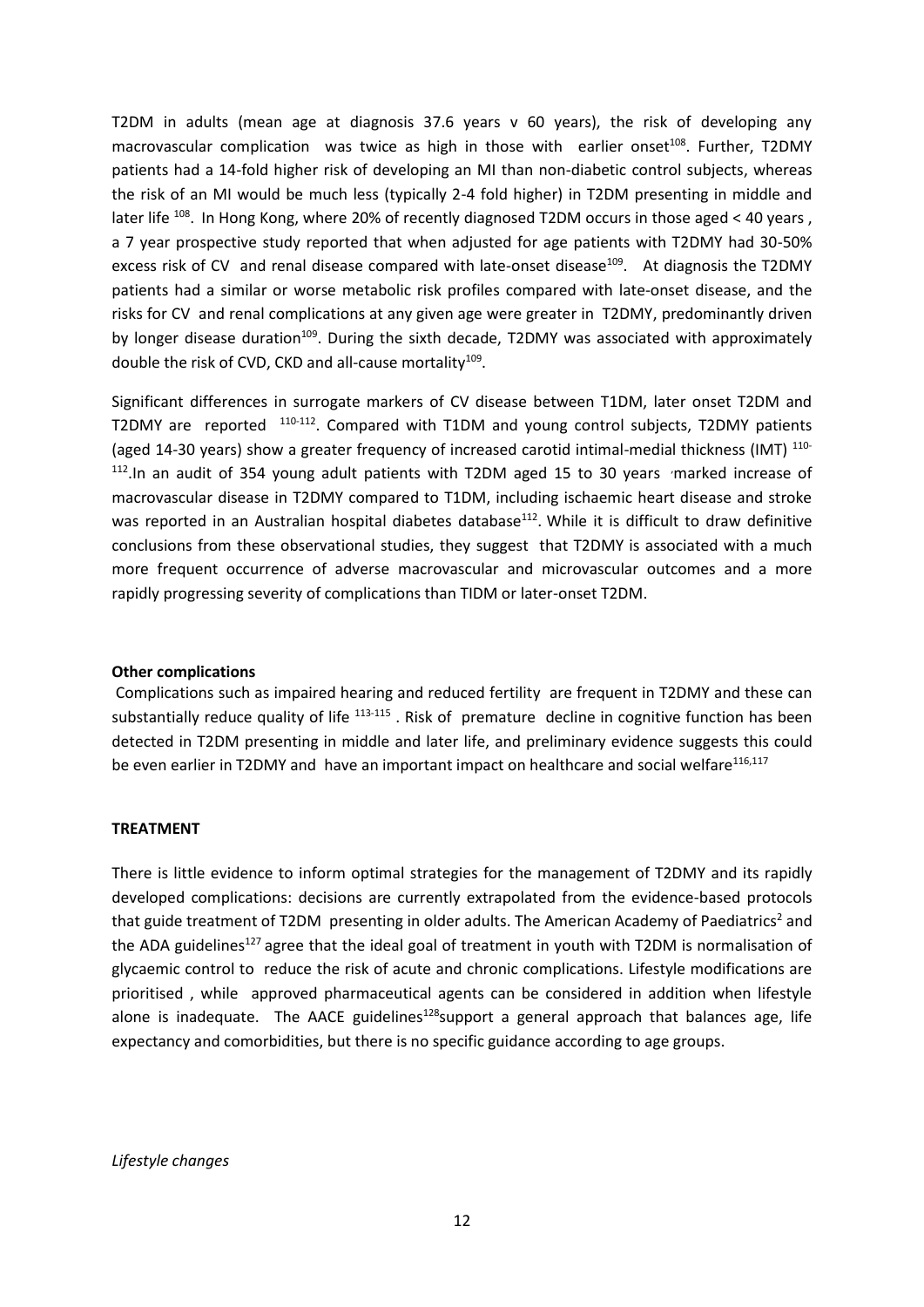T2DM in adults (mean age at diagnosis 37.6 years v 60 years), the risk of developing any macrovascular complication was twice as high in those with earlier onset<sup>108</sup>. Further, T2DMY patients had a 14-fold higher risk of developing an MI than non-diabetic control subjects, whereas the risk of an MI would be much less (typically 2-4 fold higher) in T2DM presenting in middle and later life <sup>108</sup>. In Hong Kong, where 20% of recently diagnosed T2DM occurs in those aged < 40 years, a 7 year prospective study reported that when adjusted for age patients with T2DMY had 30-50% excess risk of CV and renal disease compared with late-onset disease<sup>109</sup>. At diagnosis the T2DMY patients had a similar or worse metabolic risk profiles compared with late-onset disease, and the risks for CV and renal complications at any given age were greater in T2DMY, predominantly driven by longer disease duration<sup>109</sup>. During the sixth decade, T2DMY was associated with approximately double the risk of CVD, CKD and all-cause mortality $^{109}$ .

Significant differences in surrogate markers of CV disease between T1DM, later onset T2DM and T2DMY are reported <sup>110-112</sup>. Compared with T1DM and young control subjects, T2DMY patients (aged 14-30 years) show a greater frequency of increased carotid intimal-medial thickness (IMT) <sup>110-</sup>  $112$ . In an audit of 354 young adult patients with T2DM aged 15 to 30 years  $\cdot$ marked increase of macrovascular disease in T2DMY compared to T1DM, including ischaemic heart disease and stroke was reported in an Australian hospital diabetes database<sup>112</sup>. While it is difficult to draw definitive conclusions from these observational studies, they suggest that T2DMY is associated with a much more frequent occurrence of adverse macrovascular and microvascular outcomes and a more rapidly progressing severity of complications than TIDM or later-onset T2DM.

## **Other complications**

Complications such as impaired hearing and reduced fertility are frequent in T2DMY and these can substantially reduce quality of life <sup>113-115</sup>. Risk of premature decline in cognitive function has been detected in T2DM presenting in middle and later life, and preliminary evidence suggests this could be even earlier in T2DMY and have an important impact on healthcare and social welfare<sup>116,117</sup>

## **TREATMENT**

There is little evidence to inform optimal strategies for the management of T2DMY and its rapidly developed complications: decisions are currently extrapolated from the evidence-based protocols that guide treatment of T2DM presenting in older adults. The American Academy of Paediatrics<sup>2</sup> and the ADA guidelines<sup>127</sup> agree that the ideal goal of treatment in youth with T2DM is normalisation of glycaemic control to reduce the risk of acute and chronic complications. Lifestyle modifications are prioritised , while approved pharmaceutical agents can be considered in addition when lifestyle alone is inadequate. The AACE guidelines<sup>128</sup>support a general approach that balances age, life expectancy and comorbidities, but there is no specific guidance according to age groups.

## *Lifestyle changes*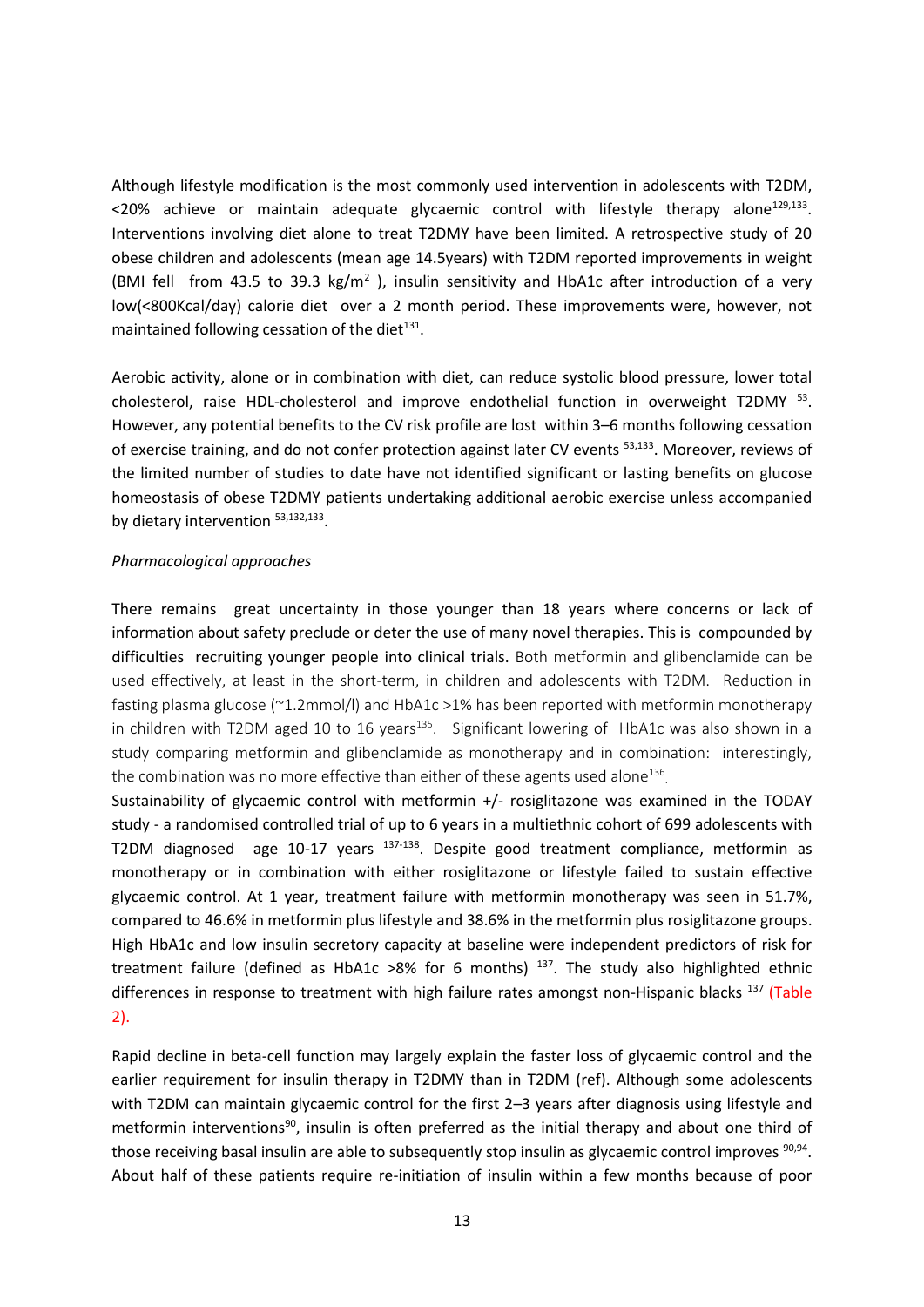Although lifestyle modification is the most commonly used intervention in adolescents with T2DM, <20% achieve or maintain adequate glycaemic control with lifestyle therapy alone<sup>129,133</sup>. Interventions involving diet alone to treat T2DMY have been limited. A retrospective study of 20 obese children and adolescents (mean age 14.5years) with T2DM reported improvements in weight (BMI fell from 43.5 to 39.3  $kg/m^2$  ), insulin sensitivity and HbA1c after introduction of a very low(<800Kcal/day) calorie diet over a 2 month period. These improvements were, however, not maintained following cessation of the diet $^{131}$ .

Aerobic activity, alone or in combination with diet, can reduce systolic blood pressure, lower total cholesterol, raise HDL-cholesterol and improve endothelial function in overweight T2DMY <sup>53</sup>. However, any potential benefits to the CV risk profile are lost within 3–6 months following cessation of exercise training, and do not confer protection against later CV events 53,133. Moreover, reviews of the limited number of studies to date have not identified significant or lasting benefits on glucose homeostasis of obese T2DMY patients undertaking additional aerobic exercise unless accompanied by dietary intervention  $53,132,133$ .

## *Pharmacological approaches*

There remains great uncertainty in those younger than 18 years where concerns or lack of information about safety preclude or deter the use of many novel therapies. This is compounded by difficulties recruiting younger people into clinical trials. Both metformin and glibenclamide can be used effectively, at least in the short-term, in children and adolescents with T2DM. Reduction in fasting plasma glucose (~1.2mmol/l) and HbA1c >1% has been reported with metformin monotherapy in children with T2DM aged 10 to 16 years<sup>135</sup>. Significant lowering of HbA1c was also shown in a study comparing metformin and glibenclamide as monotherapy and in combination: interestingly, the combination was no more effective than either of these agents used alone<sup>136</sup>.

Sustainability of glycaemic control with metformin +/- rosiglitazone was examined in the TODAY study - a randomised controlled trial of up to 6 years in a multiethnic cohort of 699 adolescents with T2DM diagnosed age 10-17 years <sup>137-138</sup>. Despite good treatment compliance, metformin as monotherapy or in combination with either rosiglitazone or lifestyle failed to sustain effective glycaemic control. At 1 year, treatment failure with metformin monotherapy was seen in 51.7%, compared to 46.6% in metformin plus lifestyle and 38.6% in the metformin plus rosiglitazone groups. High HbA1c and low insulin secretory capacity at baseline were independent predictors of risk for treatment failure (defined as HbA1c >8% for 6 months)  $^{137}$ . The study also highlighted ethnic differences in response to treatment with high failure rates amongst non-Hispanic blacks<sup>137</sup> (Table 2).

Rapid decline in beta-cell function may largely explain the faster loss of glycaemic control and the earlier requirement for insulin therapy in T2DMY than in T2DM (ref). Although some adolescents with T2DM can maintain glycaemic control for the first 2-3 years after diagnosis using lifestyle and metformin interventions<sup>90</sup>, insulin is often preferred as the initial therapy and about one third of those receiving basal insulin are able to subsequently stop insulin as glycaemic control improves <sup>90,94</sup>. About half of these patients require re-initiation of insulin within a few months because of poor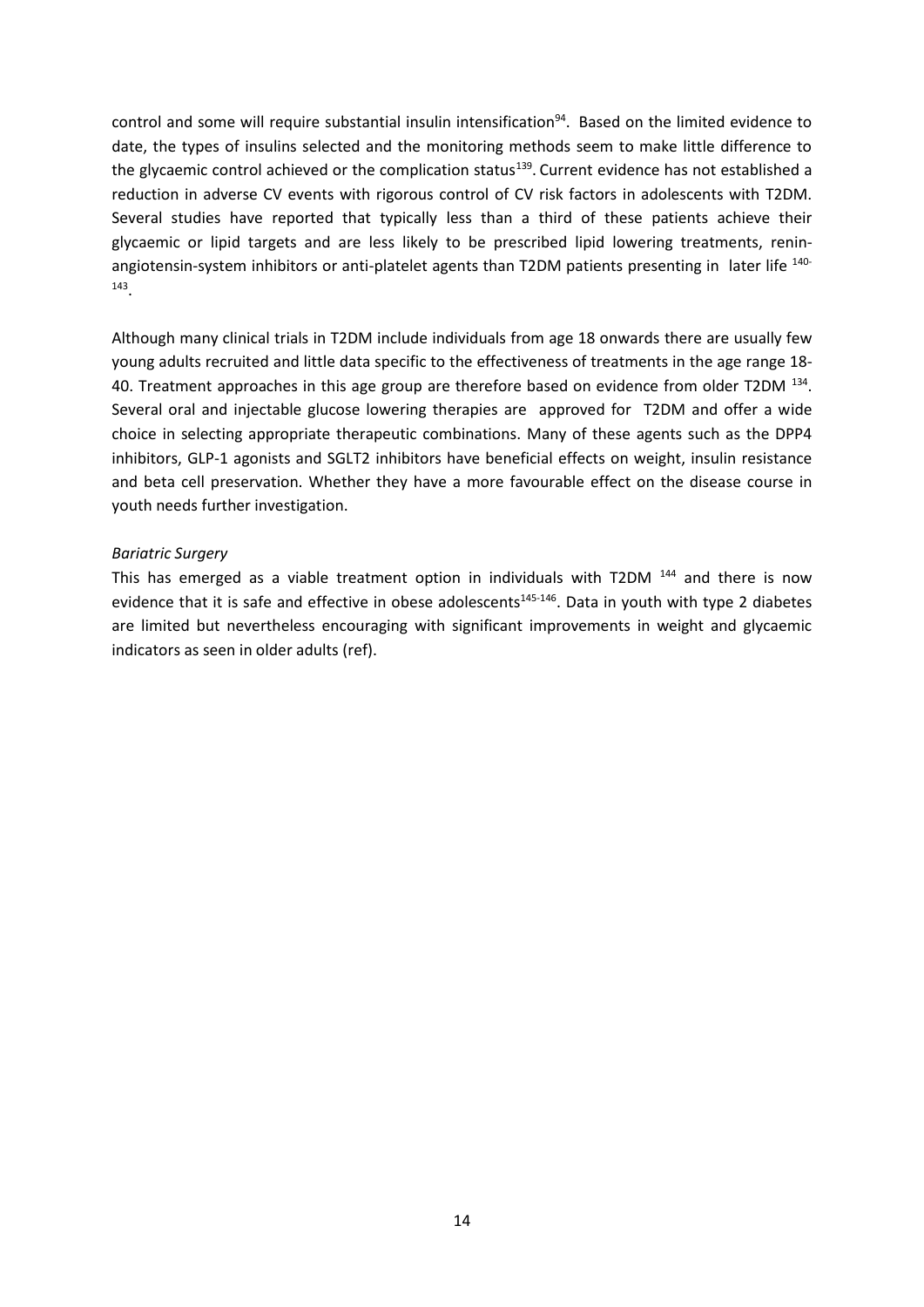control and some will require substantial insulin intensification<sup>94</sup>. Based on the limited evidence to date, the types of insulins selected and the monitoring methods seem to make little difference to the glycaemic control achieved or the complication status<sup>139</sup>. Current evidence has not established a reduction in adverse CV events with rigorous control of CV risk factors in adolescents with T2DM. Several studies have reported that typically less than a third of these patients achieve their glycaemic or lipid targets and are less likely to be prescribed lipid lowering treatments, reninangiotensin-system inhibitors or anti-platelet agents than T2DM patients presenting in later life 140-143 .

Although many clinical trials in T2DM include individuals from age 18 onwards there are usually few young adults recruited and little data specific to the effectiveness of treatments in the age range 18- 40. Treatment approaches in this age group are therefore based on evidence from older T2DM  $^{134}$ . Several oral and injectable glucose lowering therapies are approved for T2DM and offer a wide choice in selecting appropriate therapeutic combinations. Many of these agents such as the DPP4 inhibitors, GLP-1 agonists and SGLT2 inhibitors have beneficial effects on weight, insulin resistance and beta cell preservation. Whether they have a more favourable effect on the disease course in youth needs further investigation.

### *Bariatric Surgery*

This has emerged as a viable treatment option in individuals with T2DM <sup>144</sup> and there is now evidence that it is safe and effective in obese adolescents<sup>145-146</sup>. Data in youth with type 2 diabetes are limited but nevertheless encouraging with significant improvements in weight and glycaemic indicators as seen in older adults (ref).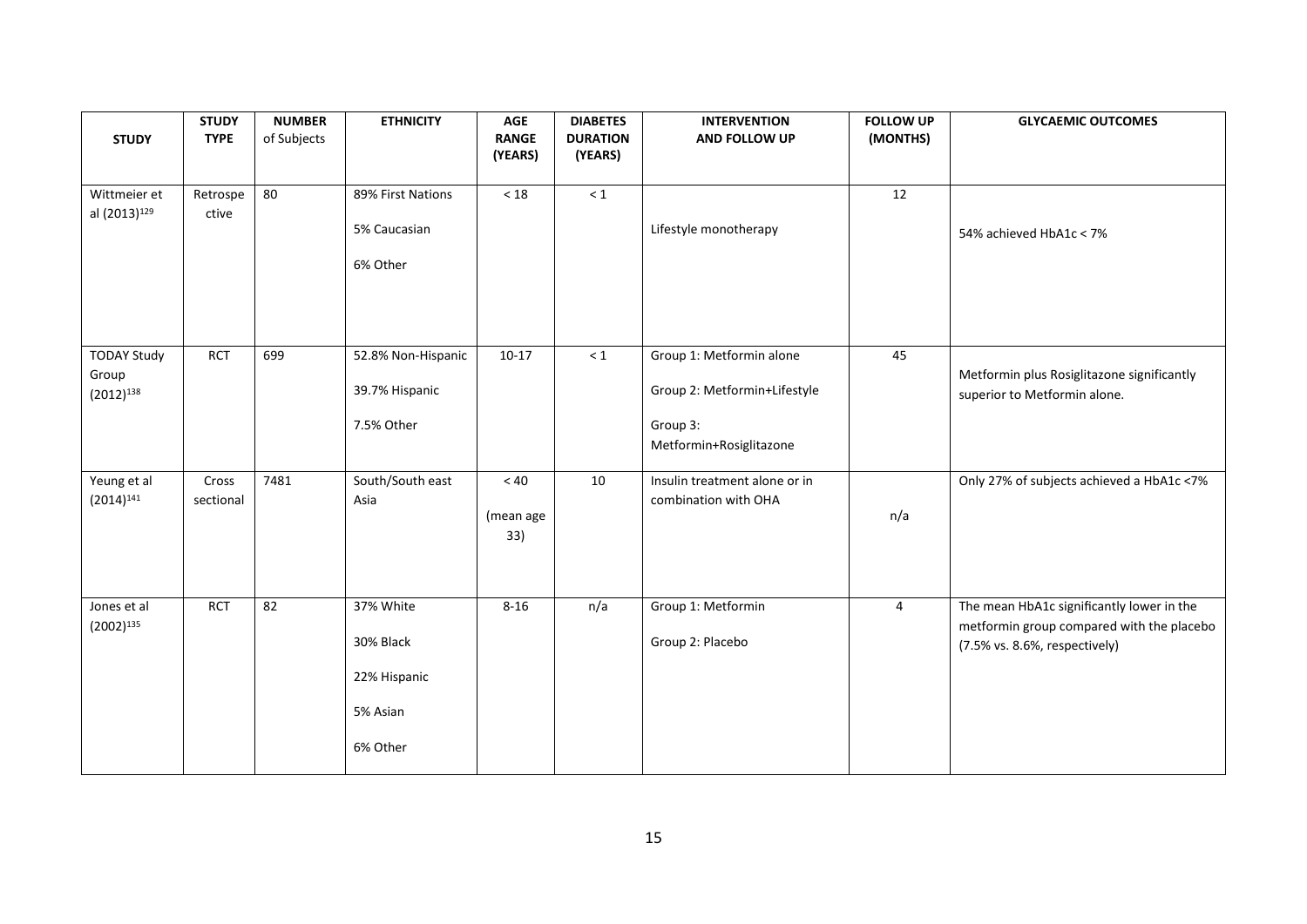| <b>STUDY</b>                                  | <b>STUDY</b><br><b>TYPE</b> | <b>NUMBER</b><br>of Subjects | <b>ETHNICITY</b>                                               | <b>AGE</b><br><b>RANGE</b>   | <b>DIABETES</b><br><b>DURATION</b> | <b>INTERVENTION</b><br>AND FOLLOW UP                                                            | <b>FOLLOW UP</b><br>(MONTHS) | <b>GLYCAEMIC OUTCOMES</b>                                                                                               |
|-----------------------------------------------|-----------------------------|------------------------------|----------------------------------------------------------------|------------------------------|------------------------------------|-------------------------------------------------------------------------------------------------|------------------------------|-------------------------------------------------------------------------------------------------------------------------|
|                                               |                             |                              |                                                                | (YEARS)                      | (YEARS)                            |                                                                                                 |                              |                                                                                                                         |
| Wittmeier et<br>al (2013) <sup>129</sup>      | Retrospe<br>ctive           | 80                           | 89% First Nations<br>5% Caucasian                              | $<18\,$                      | $\leq 1$                           | Lifestyle monotherapy                                                                           | 12                           | 54% achieved HbA1c < 7%                                                                                                 |
|                                               |                             |                              | 6% Other                                                       |                              |                                    |                                                                                                 |                              |                                                                                                                         |
| <b>TODAY Study</b><br>Group<br>$(2012)^{138}$ | <b>RCT</b>                  | 699                          | 52.8% Non-Hispanic<br>39.7% Hispanic<br>7.5% Other             | $10-17$                      | $\leq 1$                           | Group 1: Metformin alone<br>Group 2: Metformin+Lifestyle<br>Group 3:<br>Metformin+Rosiglitazone | 45                           | Metformin plus Rosiglitazone significantly<br>superior to Metformin alone.                                              |
| Yeung et al<br>$(2014)^{141}$                 | Cross<br>sectional          | 7481                         | South/South east<br>Asia                                       | $< 40\,$<br>(mean age<br>33) | 10                                 | Insulin treatment alone or in<br>combination with OHA                                           | n/a                          | Only 27% of subjects achieved a HbA1c <7%                                                                               |
| Jones et al<br>$(2002)^{135}$                 | <b>RCT</b>                  | 82                           | 37% White<br>30% Black<br>22% Hispanic<br>5% Asian<br>6% Other | $8 - 16$                     | n/a                                | Group 1: Metformin<br>Group 2: Placebo                                                          | 4                            | The mean HbA1c significantly lower in the<br>metformin group compared with the placebo<br>(7.5% vs. 8.6%, respectively) |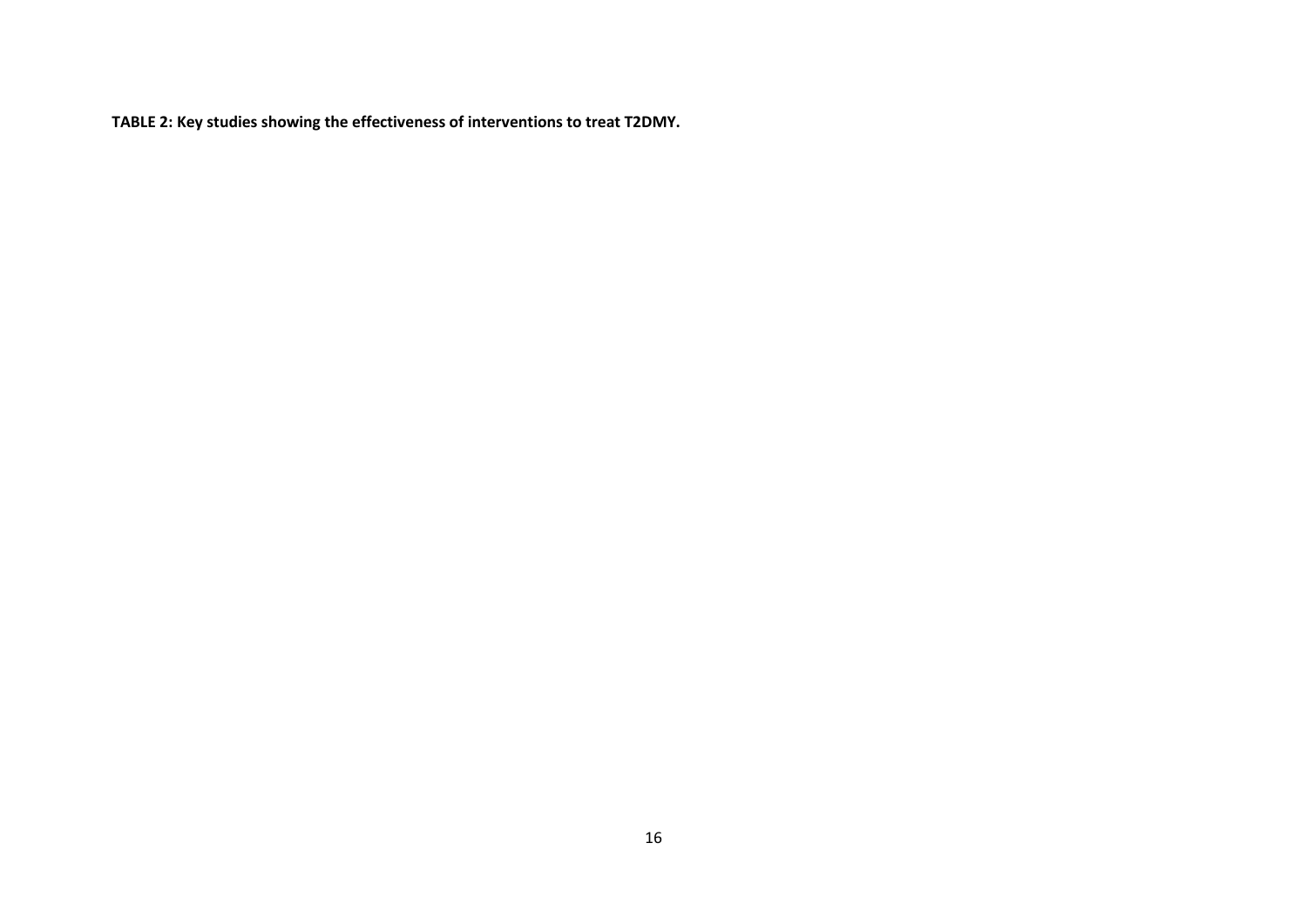**TABLE 2: Key studies showing the effectiveness of interventions to treat T2DMY.**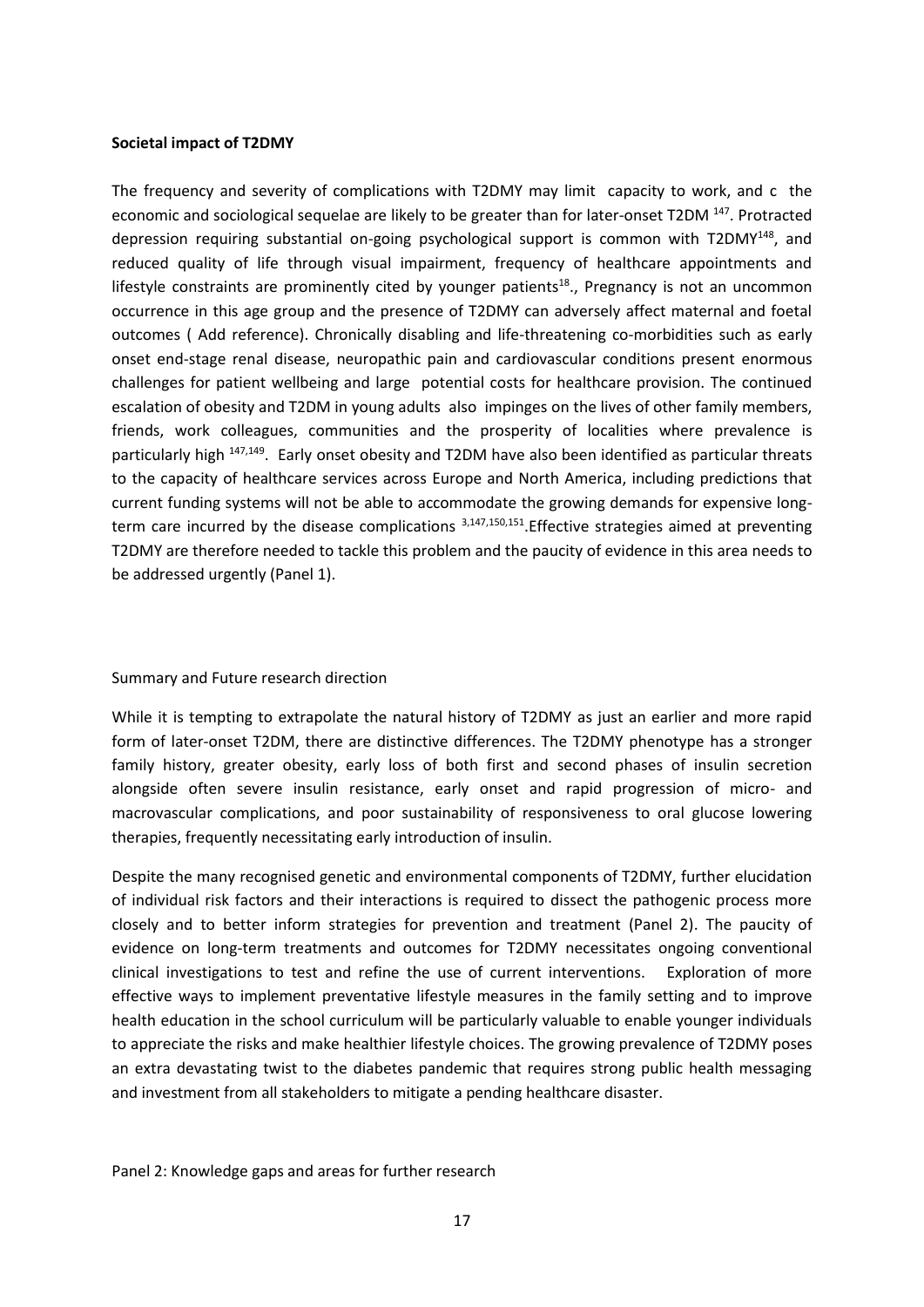### **Societal impact of T2DMY**

The frequency and severity of complications with T2DMY may limit capacity to work, and c the economic and sociological sequelae are likely to be greater than for later-onset T2DM<sup>147</sup>. Protracted depression requiring substantial on-going psychological support is common with T2DMY<sup>148</sup>, and reduced quality of life through visual impairment, frequency of healthcare appointments and lifestyle constraints are prominently cited by younger patients<sup>18</sup>., Pregnancy is not an uncommon occurrence in this age group and the presence of T2DMY can adversely affect maternal and foetal outcomes ( Add reference). Chronically disabling and life-threatening co-morbidities such as early onset end-stage renal disease, neuropathic pain and cardiovascular conditions present enormous challenges for patient wellbeing and large potential costs for healthcare provision. The continued escalation of obesity and T2DM in young adults also impinges on the lives of other family members, friends, work colleagues, communities and the prosperity of localities where prevalence is particularly high <sup>147,149</sup>. Early onset obesity and T2DM have also been identified as particular threats to the capacity of healthcare services across Europe and North America, including predictions that current funding systems will not be able to accommodate the growing demands for expensive longterm care incurred by the disease complications <sup>3,147,150,151</sup>. Effective strategies aimed at preventing T2DMY are therefore needed to tackle this problem and the paucity of evidence in this area needs to be addressed urgently (Panel 1).

### Summary and Future research direction

While it is tempting to extrapolate the natural history of T2DMY as just an earlier and more rapid form of later-onset T2DM, there are distinctive differences. The T2DMY phenotype has a stronger family history, greater obesity, early loss of both first and second phases of insulin secretion alongside often severe insulin resistance, early onset and rapid progression of micro- and macrovascular complications, and poor sustainability of responsiveness to oral glucose lowering therapies, frequently necessitating early introduction of insulin.

Despite the many recognised genetic and environmental components of T2DMY, further elucidation of individual risk factors and their interactions is required to dissect the pathogenic process more closely and to better inform strategies for prevention and treatment (Panel 2). The paucity of evidence on long-term treatments and outcomes for T2DMY necessitates ongoing conventional clinical investigations to test and refine the use of current interventions. Exploration of more effective ways to implement preventative lifestyle measures in the family setting and to improve health education in the school curriculum will be particularly valuable to enable younger individuals to appreciate the risks and make healthier lifestyle choices. The growing prevalence of T2DMY poses an extra devastating twist to the diabetes pandemic that requires strong public health messaging and investment from all stakeholders to mitigate a pending healthcare disaster.

Panel 2: Knowledge gaps and areas for further research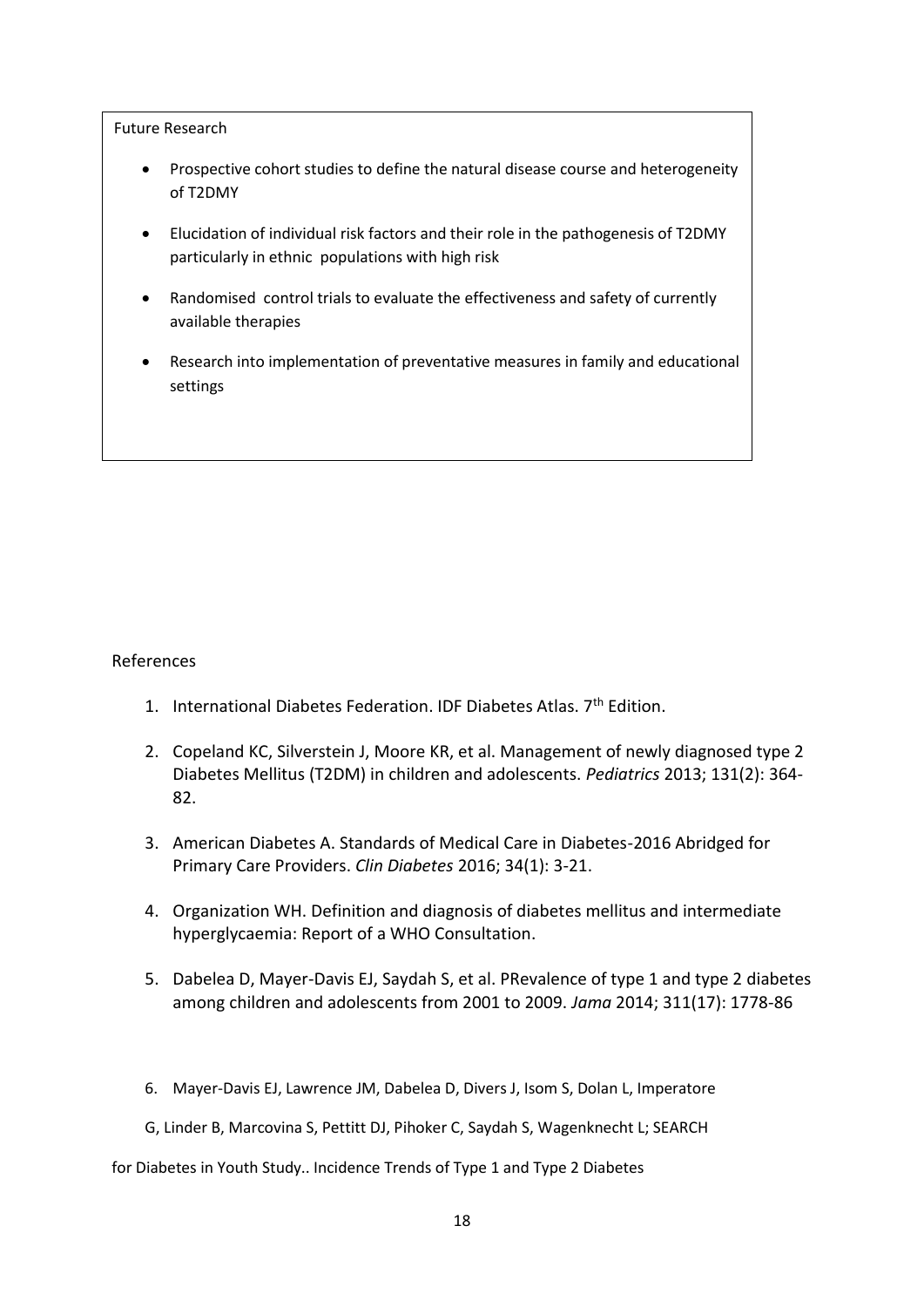Future Research

- Prospective cohort studies to define the natural disease course and heterogeneity of T2DMY
- Elucidation of individual risk factors and their role in the pathogenesis of T2DMY particularly in ethnic populations with high risk
- Randomised control trials to evaluate the effectiveness and safety of currently available therapies
- Research into implementation of preventative measures in family and educational settings

# References

- 1. International Diabetes Federation. IDF Diabetes Atlas. 7<sup>th</sup> Edition.
- 2. Copeland KC, Silverstein J, Moore KR, et al. Management of newly diagnosed type 2 Diabetes Mellitus (T2DM) in children and adolescents. *Pediatrics* 2013; 131(2): 364- 82.
- 3. American Diabetes A. Standards of Medical Care in Diabetes-2016 Abridged for Primary Care Providers. *Clin Diabetes* 2016; 34(1): 3-21.
- 4. Organization WH. Definition and diagnosis of diabetes mellitus and intermediate hyperglycaemia: Report of a WHO Consultation.
- 5. Dabelea D, Mayer-Davis EJ, Saydah S, et al. PRevalence of type 1 and type 2 diabetes among children and adolescents from 2001 to 2009. *Jama* 2014; 311(17): 1778-86
- 6. Mayer-Davis EJ, Lawrence JM, Dabelea D, Divers J, Isom S, Dolan L, Imperatore
- G, Linder B, Marcovina S, Pettitt DJ, Pihoker C, Saydah S, Wagenknecht L; SEARCH

for Diabetes in Youth Study.. Incidence Trends of Type 1 and Type 2 Diabetes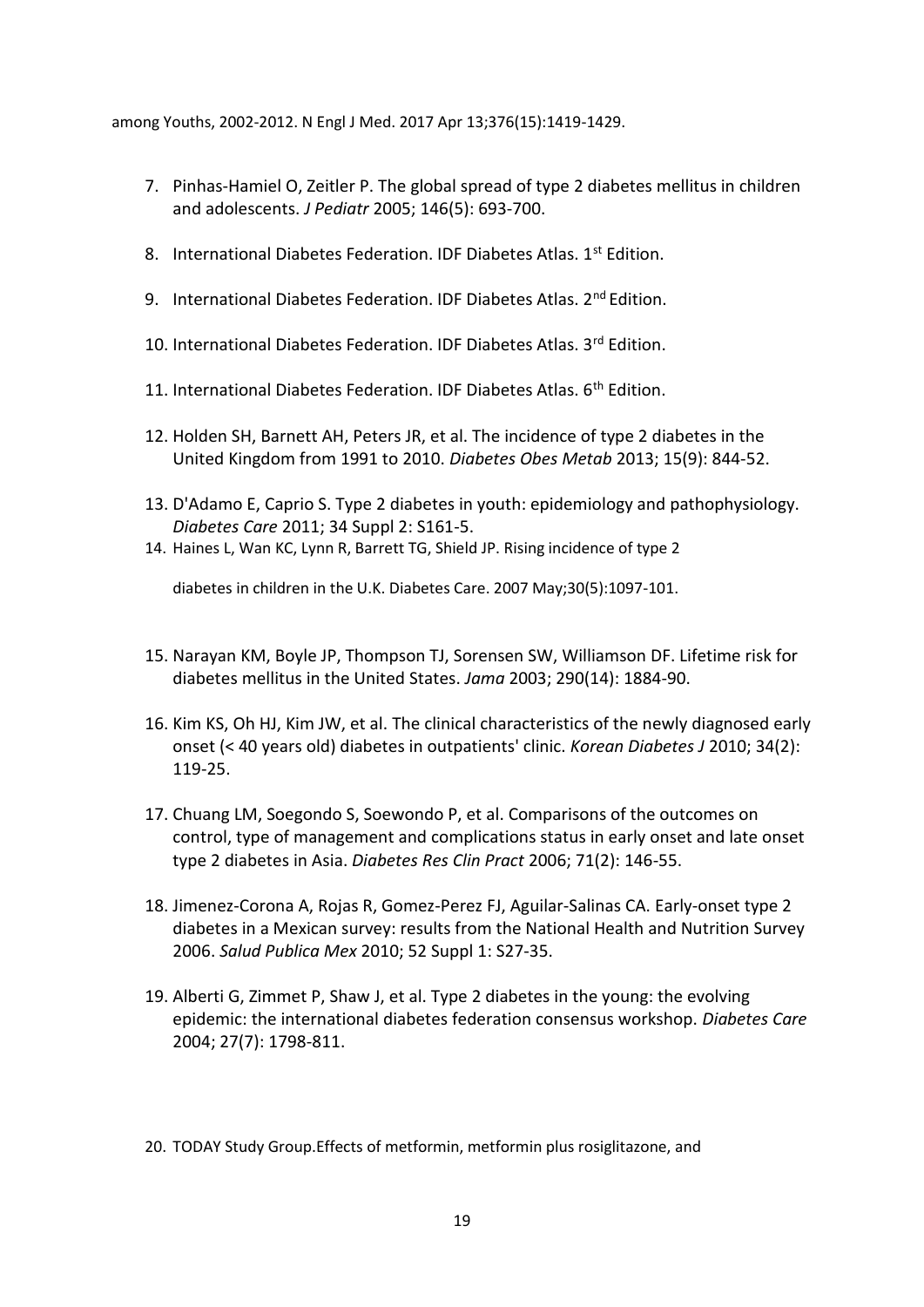among Youths, 2002-2012. N Engl J Med. 2017 Apr 13;376(15):1419-1429.

- 7. Pinhas-Hamiel O, Zeitler P. The global spread of type 2 diabetes mellitus in children and adolescents. *J Pediatr* 2005; 146(5): 693-700.
- 8. International Diabetes Federation. IDF Diabetes Atlas. 1<sup>st</sup> Edition.
- 9. International Diabetes Federation. IDF Diabetes Atlas. 2<sup>nd</sup> Edition.
- 10. International Diabetes Federation. IDF Diabetes Atlas. 3rd Edition.
- 11. International Diabetes Federation. IDF Diabetes Atlas. 6<sup>th</sup> Edition.
- 12. Holden SH, Barnett AH, Peters JR, et al. The incidence of type 2 diabetes in the United Kingdom from 1991 to 2010. *Diabetes Obes Metab* 2013; 15(9): 844-52.
- 13. D'Adamo E, Caprio S. Type 2 diabetes in youth: epidemiology and pathophysiology. *Diabetes Care* 2011; 34 Suppl 2: S161-5.
- 14. Haines L, Wan KC, Lynn R, Barrett TG, Shield JP. Rising incidence of type 2

diabetes in children in the U.K. Diabetes Care. 2007 May;30(5):1097-101.

- 15. Narayan KM, Boyle JP, Thompson TJ, Sorensen SW, Williamson DF. Lifetime risk for diabetes mellitus in the United States. *Jama* 2003; 290(14): 1884-90.
- 16. Kim KS, Oh HJ, Kim JW, et al. The clinical characteristics of the newly diagnosed early onset (< 40 years old) diabetes in outpatients' clinic. *Korean Diabetes J* 2010; 34(2): 119-25.
- 17. Chuang LM, Soegondo S, Soewondo P, et al. Comparisons of the outcomes on control, type of management and complications status in early onset and late onset type 2 diabetes in Asia. *Diabetes Res Clin Pract* 2006; 71(2): 146-55.
- 18. Jimenez-Corona A, Rojas R, Gomez-Perez FJ, Aguilar-Salinas CA. Early-onset type 2 diabetes in a Mexican survey: results from the National Health and Nutrition Survey 2006. *Salud Publica Mex* 2010; 52 Suppl 1: S27-35.
- 19. Alberti G, Zimmet P, Shaw J, et al. Type 2 diabetes in the young: the evolving epidemic: the international diabetes federation consensus workshop. *Diabetes Care* 2004; 27(7): 1798-811.
- 20. TODAY Study Group.Effects of metformin, metformin plus rosiglitazone, and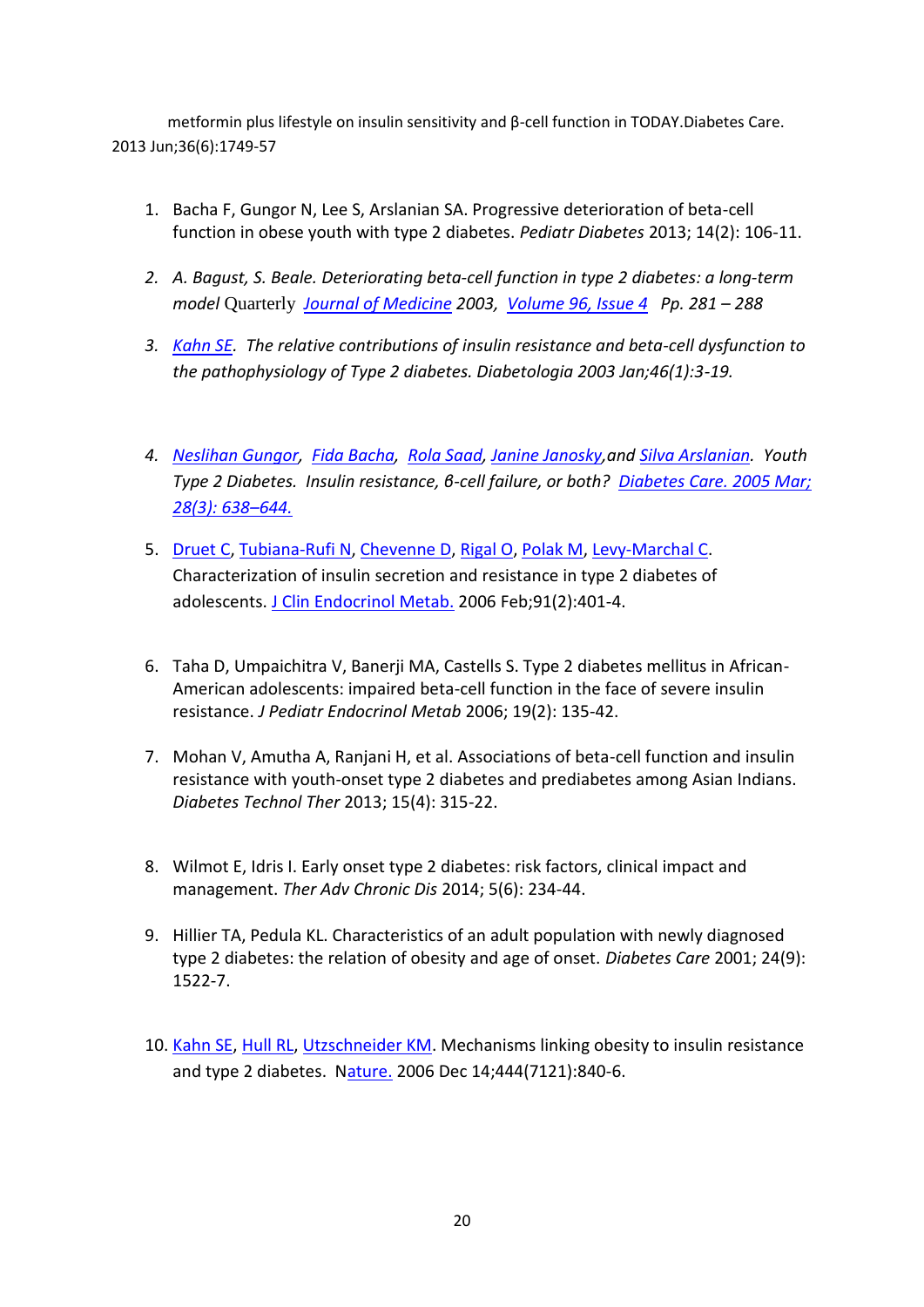metformin plus lifestyle on insulin sensitivity and β-cell function in TODAY.Diabetes Care. 2013 Jun;36(6):1749-57

- 1. Bacha F, Gungor N, Lee S, Arslanian SA. Progressive deterioration of beta-cell function in obese youth with type 2 diabetes. *Pediatr Diabetes* 2013; 14(2): 106-11.
- *2. A. Bagust, S. Beale. Deteriorating beta‐cell function in type 2 diabetes: a long‐term model* Quarterly *[Journal of Medicine](http://qjmed.oxfordjournals.org/) 2003, [Volume 96, Issue 4](http://qjmed.oxfordjournals.org/content/96/4) Pp. 281 – 288*
- *3. [Kahn SE.](https://www.ncbi.nlm.nih.gov/pubmed/?term=Kahn%20SE%5BAuthor%5D&cauthor=true&cauthor_uid=12637977) The relative contributions of insulin resistance and beta-cell dysfunction to the pathophysiology of Type 2 diabetes. Diabetologia 2003 Jan;46(1):3-19.*
- *4. [Neslihan Gungor,](https://www.ncbi.nlm.nih.gov/pubmed/?term=Gungor%20N%5BAuthor%5D&cauthor=true&cauthor_uid=15735201) [Fida Bacha,](https://www.ncbi.nlm.nih.gov/pubmed/?term=Bacha%20F%5BAuthor%5D&cauthor=true&cauthor_uid=15735201) [Rola Saad,](https://www.ncbi.nlm.nih.gov/pubmed/?term=Saad%20R%5BAuthor%5D&cauthor=true&cauthor_uid=15735201) [Janine Janosky,](https://www.ncbi.nlm.nih.gov/pubmed/?term=Janosky%20J%5BAuthor%5D&cauthor=true&cauthor_uid=15735201)and [Silva Arslanian.](https://www.ncbi.nlm.nih.gov/pubmed/?term=Arslanian%20S%5BAuthor%5D&cauthor=true&cauthor_uid=15735201) Youth Type 2 Diabetes. Insulin resistance, β-cell failure, or both? [Diabetes Care. 2005 Mar;](https://www.ncbi.nlm.nih.gov/entrez/eutils/elink.fcgi?dbfrom=pubmed&retmode=ref&cmd=prlinks&id=15735201)  [28\(3\): 638](https://www.ncbi.nlm.nih.gov/entrez/eutils/elink.fcgi?dbfrom=pubmed&retmode=ref&cmd=prlinks&id=15735201)–644.*
- 5. [Druet C,](https://www.ncbi.nlm.nih.gov/pubmed/?term=Druet%20C%5BAuthor%5D&cauthor=true&cauthor_uid=16291705) [Tubiana-Rufi N,](https://www.ncbi.nlm.nih.gov/pubmed/?term=Tubiana-Rufi%20N%5BAuthor%5D&cauthor=true&cauthor_uid=16291705) [Chevenne D,](https://www.ncbi.nlm.nih.gov/pubmed/?term=Chevenne%20D%5BAuthor%5D&cauthor=true&cauthor_uid=16291705) [Rigal O,](https://www.ncbi.nlm.nih.gov/pubmed/?term=Rigal%20O%5BAuthor%5D&cauthor=true&cauthor_uid=16291705) [Polak M,](https://www.ncbi.nlm.nih.gov/pubmed/?term=Polak%20M%5BAuthor%5D&cauthor=true&cauthor_uid=16291705) [Levy-Marchal C.](https://www.ncbi.nlm.nih.gov/pubmed/?term=Levy-Marchal%20C%5BAuthor%5D&cauthor=true&cauthor_uid=16291705) Characterization of insulin secretion and resistance in type 2 diabetes of adolescents. [J Clin Endocrinol Metab.](https://www.ncbi.nlm.nih.gov/pubmed/16291705/) 2006 Feb;91(2):401-4.
- 6. Taha D, Umpaichitra V, Banerji MA, Castells S. Type 2 diabetes mellitus in African-American adolescents: impaired beta-cell function in the face of severe insulin resistance. *J Pediatr Endocrinol Metab* 2006; 19(2): 135-42.
- 7. Mohan V, Amutha A, Ranjani H, et al. Associations of beta-cell function and insulin resistance with youth-onset type 2 diabetes and prediabetes among Asian Indians. *Diabetes Technol Ther* 2013; 15(4): 315-22.
- 8. Wilmot E, Idris I. Early onset type 2 diabetes: risk factors, clinical impact and management. *Ther Adv Chronic Dis* 2014; 5(6): 234-44.
- 9. Hillier TA, Pedula KL. Characteristics of an adult population with newly diagnosed type 2 diabetes: the relation of obesity and age of onset. *Diabetes Care* 2001; 24(9): 1522-7.
- 10. [Kahn SE,](https://www.ncbi.nlm.nih.gov/pubmed/?term=Kahn%20SE%5BAuthor%5D&cauthor=true&cauthor_uid=17167471) [Hull RL,](https://www.ncbi.nlm.nih.gov/pubmed/?term=Hull%20RL%5BAuthor%5D&cauthor=true&cauthor_uid=17167471) [Utzschneider KM.](https://www.ncbi.nlm.nih.gov/pubmed/?term=Utzschneider%20KM%5BAuthor%5D&cauthor=true&cauthor_uid=17167471) Mechanisms linking obesity to insulin resistance and type 2 diabetes. [Nature.](https://www.ncbi.nlm.nih.gov/pubmed/17167471) 2006 Dec 14;444(7121):840-6.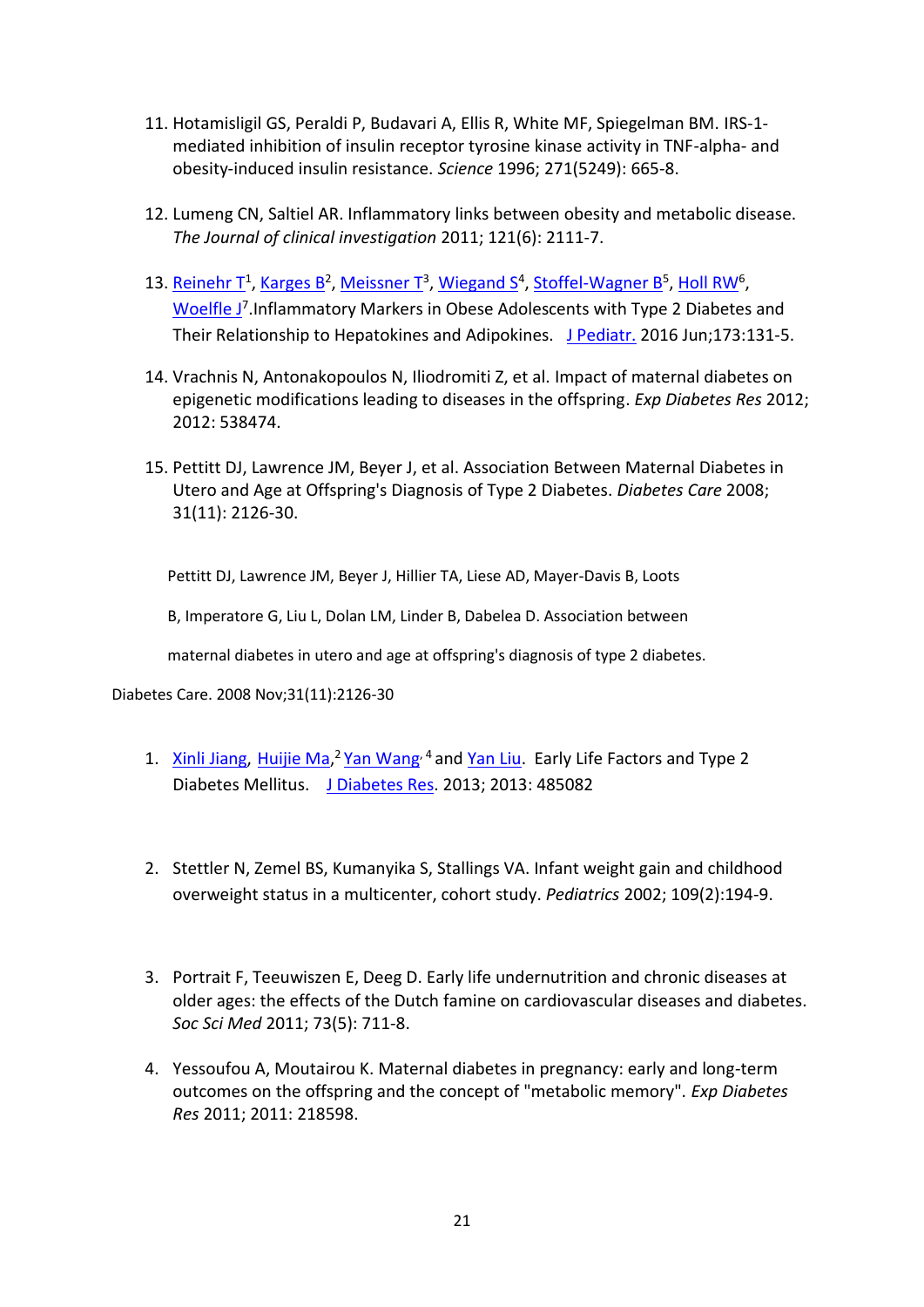- 11. Hotamisligil GS, Peraldi P, Budavari A, Ellis R, White MF, Spiegelman BM. IRS-1 mediated inhibition of insulin receptor tyrosine kinase activity in TNF-alpha- and obesity-induced insulin resistance. *Science* 1996; 271(5249): 665-8.
- 12. Lumeng CN, Saltiel AR. Inflammatory links between obesity and metabolic disease. *The Journal of clinical investigation* 2011; 121(6): 2111-7.
- 13. [Reinehr T](https://www.ncbi.nlm.nih.gov/pubmed/?term=Reinehr%20T%5BAuthor%5D&cauthor=true&cauthor_uid=26996723)<sup>1</sup>[, Karges B](https://www.ncbi.nlm.nih.gov/pubmed/?term=Karges%20B%5BAuthor%5D&cauthor=true&cauthor_uid=26996723)<sup>2</sup>, [Meissner T](https://www.ncbi.nlm.nih.gov/pubmed/?term=Meissner%20T%5BAuthor%5D&cauthor=true&cauthor_uid=26996723)<sup>3</sup>, [Wiegand S](https://www.ncbi.nlm.nih.gov/pubmed/?term=Wiegand%20S%5BAuthor%5D&cauthor=true&cauthor_uid=26996723)<sup>4</sup>[, Stoffel-Wagner B](https://www.ncbi.nlm.nih.gov/pubmed/?term=Stoffel-Wagner%20B%5BAuthor%5D&cauthor=true&cauthor_uid=26996723)<sup>5</sup>, [Holl RW](https://www.ncbi.nlm.nih.gov/pubmed/?term=Holl%20RW%5BAuthor%5D&cauthor=true&cauthor_uid=26996723)<sup>6</sup>, [Woelfle J](https://www.ncbi.nlm.nih.gov/pubmed/?term=Woelfle%20J%5BAuthor%5D&cauthor=true&cauthor_uid=26996723)<sup>7</sup>. Inflammatory Markers in Obese Adolescents with Type 2 Diabetes and Their Relationship to Hepatokines and Adipokines. [J Pediatr.](https://www.ncbi.nlm.nih.gov/pubmed/26996723) 2016 Jun;173:131-5.
- 14. Vrachnis N, Antonakopoulos N, Iliodromiti Z, et al. Impact of maternal diabetes on epigenetic modifications leading to diseases in the offspring. *Exp Diabetes Res* 2012; 2012: 538474.
- 15. Pettitt DJ, Lawrence JM, Beyer J, et al. Association Between Maternal Diabetes in Utero and Age at Offspring's Diagnosis of Type 2 Diabetes. *Diabetes Care* 2008; 31(11): 2126-30.

Pettitt DJ, Lawrence JM, Beyer J, Hillier TA, Liese AD, Mayer-Davis B, Loots

B, Imperatore G, Liu L, Dolan LM, Linder B, Dabelea D. Association between

maternal diabetes in utero and age at offspring's diagnosis of type 2 diabetes.

Diabetes Care. 2008 Nov;31(11):2126-30

- 1. [Xinli Jiang,](https://www.ncbi.nlm.nih.gov/pubmed/?term=Jiang%20X%5BAuthor%5D&cauthor=true&cauthor_uid=24455747) [Huijie Ma,](https://www.ncbi.nlm.nih.gov/pubmed/?term=Ma%20H%5BAuthor%5D&cauthor=true&cauthor_uid=24455747)<sup>2</sup> [Yan Wang](https://www.ncbi.nlm.nih.gov/pubmed/?term=Wang%20Y%5BAuthor%5D&cauthor=true&cauthor_uid=24455747)<sup>, 4</sup> and [Yan Liu.](https://www.ncbi.nlm.nih.gov/pubmed/?term=Liu%20Y%5BAuthor%5D&cauthor=true&cauthor_uid=24455747) Early Life Factors and Type 2 Diabetes Mellitus. [J Diabetes Res.](https://www.ncbi.nlm.nih.gov/pmc/articles/PMC3876901/) 2013; 2013: 485082
- 2. Stettler N, Zemel BS, Kumanyika S, Stallings VA. Infant weight gain and childhood overweight status in a multicenter, cohort study. *Pediatrics* 2002; 109(2):194-9.
- 3. Portrait F, Teeuwiszen E, Deeg D. Early life undernutrition and chronic diseases at older ages: the effects of the Dutch famine on cardiovascular diseases and diabetes. *Soc Sci Med* 2011; 73(5): 711-8.
- 4. Yessoufou A, Moutairou K. Maternal diabetes in pregnancy: early and long-term outcomes on the offspring and the concept of "metabolic memory". *Exp Diabetes Res* 2011; 2011: 218598.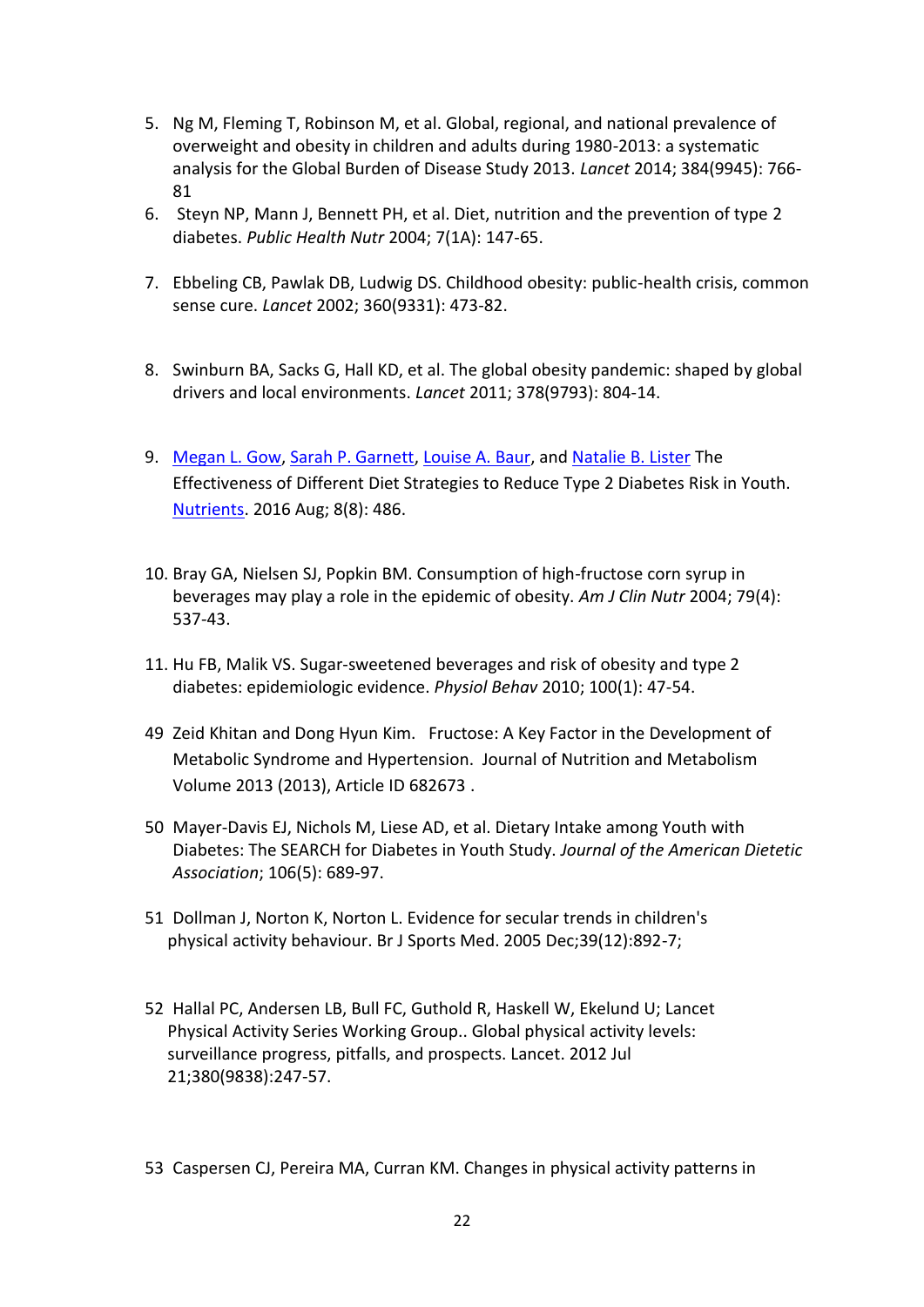- 5. Ng M, Fleming T, Robinson M, et al. Global, regional, and national prevalence of overweight and obesity in children and adults during 1980-2013: a systematic analysis for the Global Burden of Disease Study 2013. *Lancet* 2014; 384(9945): 766- 81
- 6. Steyn NP, Mann J, Bennett PH, et al. Diet, nutrition and the prevention of type 2 diabetes. *Public Health Nutr* 2004; 7(1A): 147-65.
- 7. Ebbeling CB, Pawlak DB, Ludwig DS. Childhood obesity: public-health crisis, common sense cure. *Lancet* 2002; 360(9331): 473-82.
- 8. Swinburn BA, Sacks G, Hall KD, et al. The global obesity pandemic: shaped by global drivers and local environments. *Lancet* 2011; 378(9793): 804-14.
- 9. [Megan L. Gow,](https://www.ncbi.nlm.nih.gov/pubmed/?term=Gow%20ML%5BAuthor%5D&cauthor=true&cauthor_uid=27517953) [Sarah P. Garnett,](https://www.ncbi.nlm.nih.gov/pubmed/?term=Garnett%20SP%5BAuthor%5D&cauthor=true&cauthor_uid=27517953) [Louise A. Baur,](https://www.ncbi.nlm.nih.gov/pubmed/?term=Baur%20LA%5BAuthor%5D&cauthor=true&cauthor_uid=27517953) and [Natalie B. Lister](https://www.ncbi.nlm.nih.gov/pubmed/?term=Lister%20NB%5BAuthor%5D&cauthor=true&cauthor_uid=27517953) The Effectiveness of Different Diet Strategies to Reduce Type 2 Diabetes Risk in Youth. [Nutrients.](https://www.ncbi.nlm.nih.gov/pmc/articles/PMC4997399/) 2016 Aug; 8(8): 486.
- 10. Bray GA, Nielsen SJ, Popkin BM. Consumption of high-fructose corn syrup in beverages may play a role in the epidemic of obesity. *Am J Clin Nutr* 2004; 79(4): 537-43.
- 11. Hu FB, Malik VS. Sugar-sweetened beverages and risk of obesity and type 2 diabetes: epidemiologic evidence. *Physiol Behav* 2010; 100(1): 47-54.
- 49 Zeid Khitan and Dong Hyun Kim. Fructose: A Key Factor in the Development of Metabolic Syndrome and Hypertension. Journal of Nutrition and Metabolism Volume 2013 (2013), Article ID 682673 .
- 50 Mayer-Davis EJ, Nichols M, Liese AD, et al. Dietary Intake among Youth with Diabetes: The SEARCH for Diabetes in Youth Study. *Journal of the American Dietetic Association*; 106(5): 689-97.
- 51 Dollman J, Norton K, Norton L. Evidence for secular trends in children's physical activity behaviour. Br J Sports Med. 2005 Dec;39(12):892-7;
- 52 Hallal PC, Andersen LB, Bull FC, Guthold R, Haskell W, Ekelund U; Lancet Physical Activity Series Working Group.. Global physical activity levels: surveillance progress, pitfalls, and prospects. Lancet. 2012 Jul 21;380(9838):247-57.
- 53 Caspersen CJ, Pereira MA, Curran KM. Changes in physical activity patterns in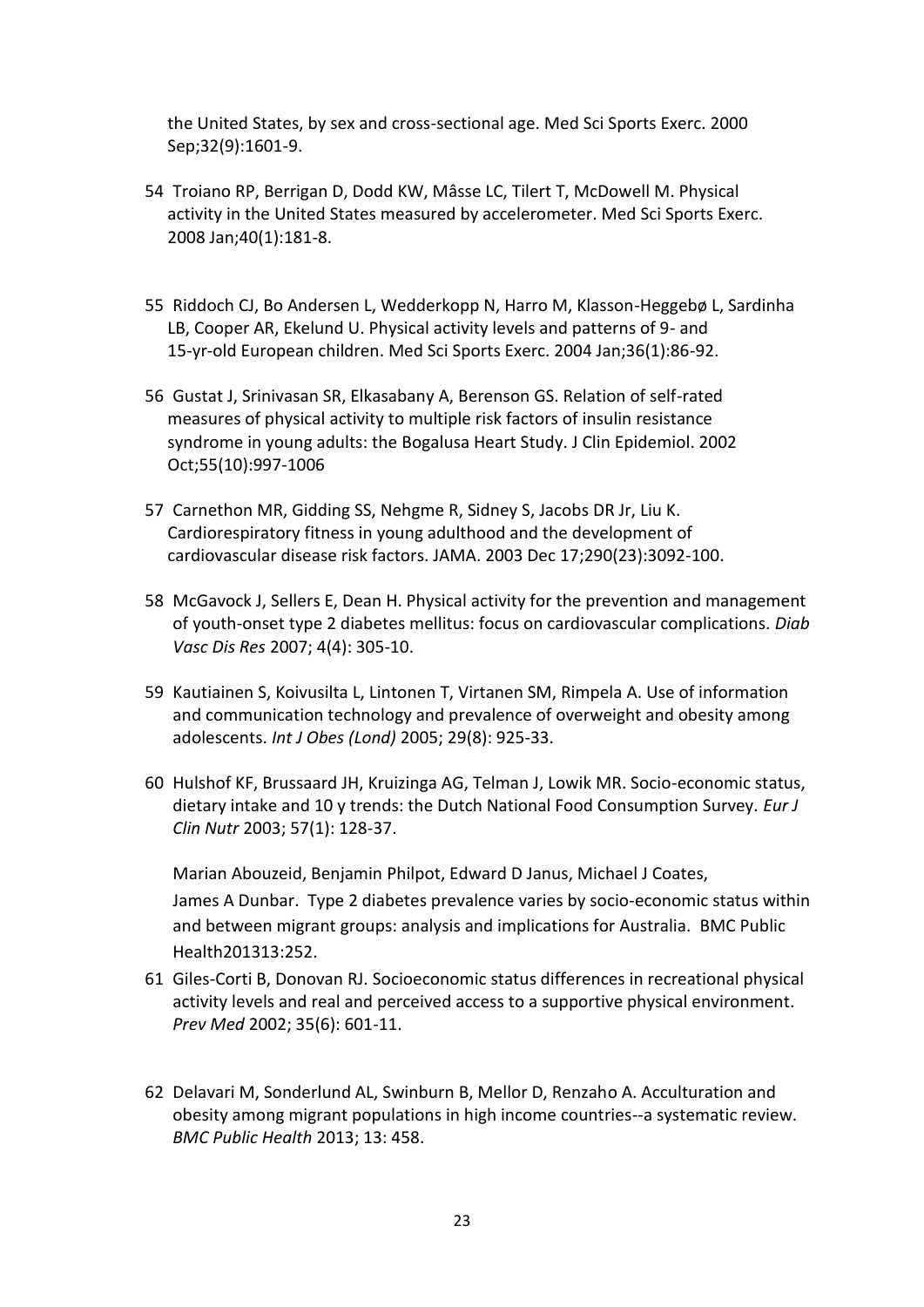the United States, by sex and cross-sectional age. Med Sci Sports Exerc. 2000 Sep;32(9):1601-9.

- 54 Troiano RP, Berrigan D, Dodd KW, Mâsse LC, Tilert T, McDowell M. Physical activity in the United States measured by accelerometer. Med Sci Sports Exerc. 2008 Jan;40(1):181-8.
- 55 Riddoch CJ, Bo Andersen L, Wedderkopp N, Harro M, Klasson-Heggebø L, Sardinha LB, Cooper AR, Ekelund U. Physical activity levels and patterns of 9- and 15-yr-old European children. Med Sci Sports Exerc. 2004 Jan;36(1):86-92.
- 56 Gustat J, Srinivasan SR, Elkasabany A, Berenson GS. Relation of self-rated measures of physical activity to multiple risk factors of insulin resistance syndrome in young adults: the Bogalusa Heart Study. J Clin Epidemiol. 2002 Oct;55(10):997-1006
- 57 Carnethon MR, Gidding SS, Nehgme R, Sidney S, Jacobs DR Jr, Liu K. Cardiorespiratory fitness in young adulthood and the development of cardiovascular disease risk factors. JAMA. 2003 Dec 17;290(23):3092-100.
- 58 McGavock J, Sellers E, Dean H. Physical activity for the prevention and management of youth-onset type 2 diabetes mellitus: focus on cardiovascular complications. *Diab Vasc Dis Res* 2007; 4(4): 305-10.
- 59 Kautiainen S, Koivusilta L, Lintonen T, Virtanen SM, Rimpela A. Use of information and communication technology and prevalence of overweight and obesity among adolescents. *Int J Obes (Lond)* 2005; 29(8): 925-33.
- 60 Hulshof KF, Brussaard JH, Kruizinga AG, Telman J, Lowik MR. Socio-economic status, dietary intake and 10 y trends: the Dutch National Food Consumption Survey. *Eur J Clin Nutr* 2003; 57(1): 128-37.

Marian Abouzeid, Benjamin Philpot, Edward D Janus, Michael J Coates, James A Dunbar. Type 2 diabetes prevalence varies by socio-economic status within and between migrant groups: analysis and implications for Australia. BMC Public Health201313:252.

- 61 Giles-Corti B, Donovan RJ. Socioeconomic status differences in recreational physical activity levels and real and perceived access to a supportive physical environment. *Prev Med* 2002; 35(6): 601-11.
- 62 Delavari M, Sonderlund AL, Swinburn B, Mellor D, Renzaho A. Acculturation and obesity among migrant populations in high income countries--a systematic review. *BMC Public Health* 2013; 13: 458.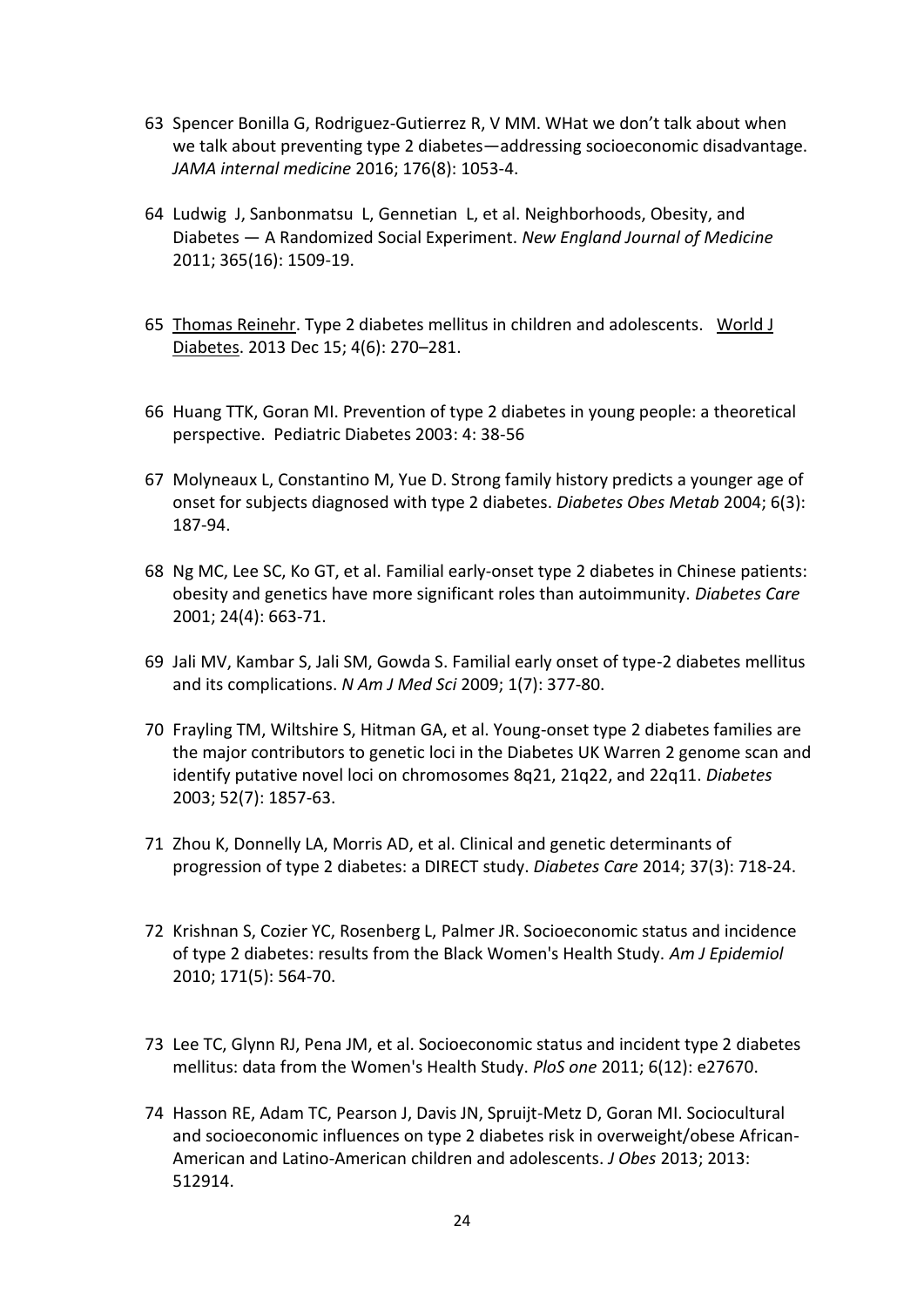- 63 Spencer Bonilla G, Rodriguez-Gutierrez R, V MM. WHat we don't talk about when we talk about preventing type 2 diabetes—addressing socioeconomic disadvantage. *JAMA internal medicine* 2016; 176(8): 1053-4.
- 64 Ludwig J, Sanbonmatsu L, Gennetian L, et al. Neighborhoods, Obesity, and Diabetes — A Randomized Social Experiment. *New England Journal of Medicine* 2011; 365(16): 1509-19.
- 65 [Thomas Reinehr.](https://www.ncbi.nlm.nih.gov/pubmed/?term=Reinehr%20T%5BAuthor%5D&cauthor=true&cauthor_uid=24379917) Type 2 diabetes mellitus in children and adolescents. [World J](https://www.ncbi.nlm.nih.gov/pmc/articles/PMC3874486/)  [Diabetes.](https://www.ncbi.nlm.nih.gov/pmc/articles/PMC3874486/) 2013 Dec 15; 4(6): 270–281.
- 66 Huang TTK, Goran MI. Prevention of type 2 diabetes in young people: a theoretical perspective. Pediatric Diabetes 2003: 4: 38-56
- 67 Molyneaux L, Constantino M, Yue D. Strong family history predicts a younger age of onset for subjects diagnosed with type 2 diabetes. *Diabetes Obes Metab* 2004; 6(3): 187-94.
- 68 Ng MC, Lee SC, Ko GT, et al. Familial early-onset type 2 diabetes in Chinese patients: obesity and genetics have more significant roles than autoimmunity. *Diabetes Care* 2001; 24(4): 663-71.
- 69 Jali MV, Kambar S, Jali SM, Gowda S. Familial early onset of type-2 diabetes mellitus and its complications. *N Am J Med Sci* 2009; 1(7): 377-80.
- 70 Frayling TM, Wiltshire S, Hitman GA, et al. Young-onset type 2 diabetes families are the major contributors to genetic loci in the Diabetes UK Warren 2 genome scan and identify putative novel loci on chromosomes 8q21, 21q22, and 22q11. *Diabetes* 2003; 52(7): 1857-63.
- 71 Zhou K, Donnelly LA, Morris AD, et al. Clinical and genetic determinants of progression of type 2 diabetes: a DIRECT study. *Diabetes Care* 2014; 37(3): 718-24.
- 72 Krishnan S, Cozier YC, Rosenberg L, Palmer JR. Socioeconomic status and incidence of type 2 diabetes: results from the Black Women's Health Study. *Am J Epidemiol* 2010; 171(5): 564-70.
- 73 Lee TC, Glynn RJ, Pena JM, et al. Socioeconomic status and incident type 2 diabetes mellitus: data from the Women's Health Study. *PloS one* 2011; 6(12): e27670.
- 74 Hasson RE, Adam TC, Pearson J, Davis JN, Spruijt-Metz D, Goran MI. Sociocultural and socioeconomic influences on type 2 diabetes risk in overweight/obese African-American and Latino-American children and adolescents. *J Obes* 2013; 2013: 512914.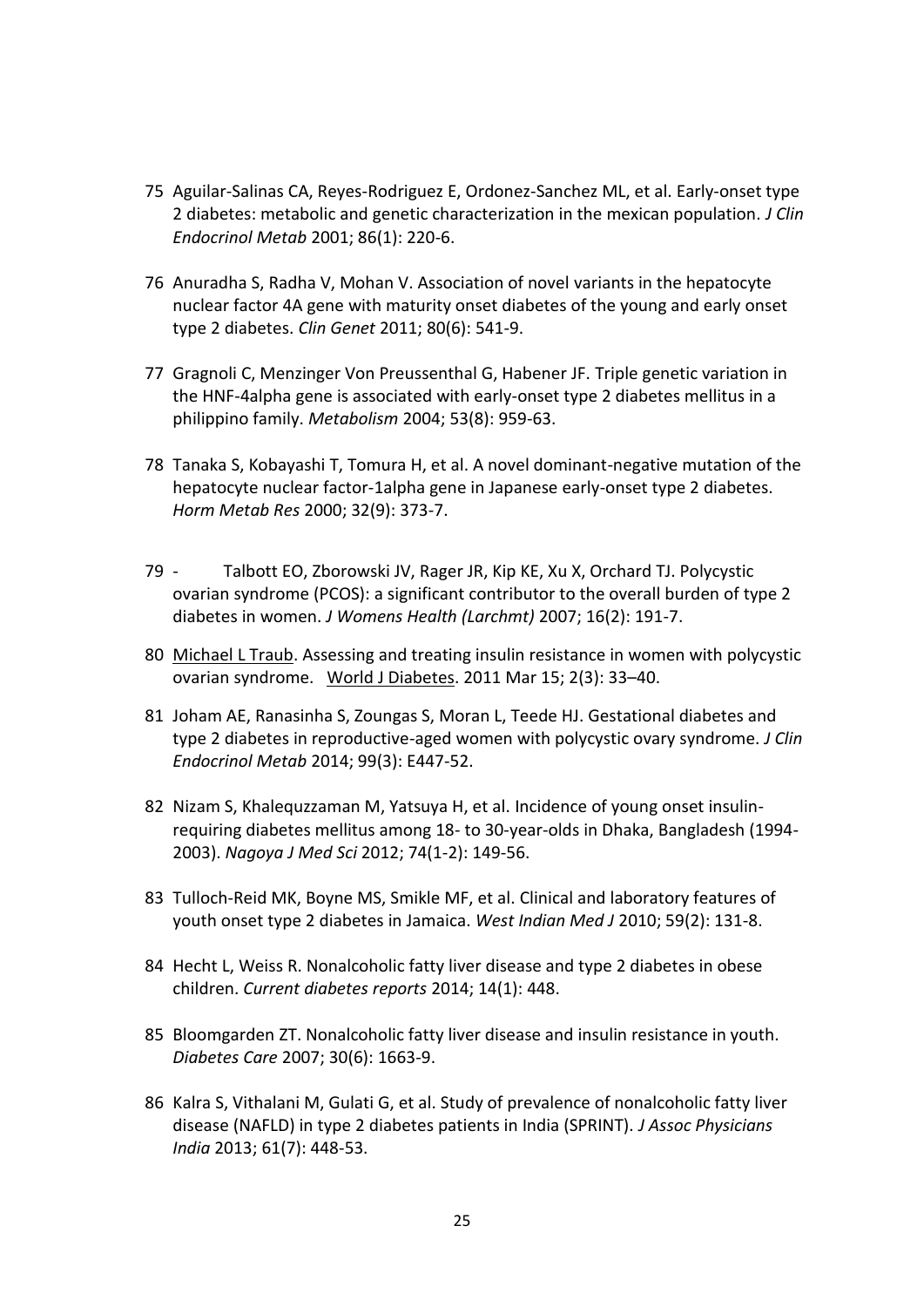- 75 Aguilar-Salinas CA, Reyes-Rodriguez E, Ordonez-Sanchez ML, et al. Early-onset type 2 diabetes: metabolic and genetic characterization in the mexican population. *J Clin Endocrinol Metab* 2001; 86(1): 220-6.
- 76 Anuradha S, Radha V, Mohan V. Association of novel variants in the hepatocyte nuclear factor 4A gene with maturity onset diabetes of the young and early onset type 2 diabetes. *Clin Genet* 2011; 80(6): 541-9.
- 77 Gragnoli C, Menzinger Von Preussenthal G, Habener JF. Triple genetic variation in the HNF-4alpha gene is associated with early-onset type 2 diabetes mellitus in a philippino family. *Metabolism* 2004; 53(8): 959-63.
- 78 Tanaka S, Kobayashi T, Tomura H, et al. A novel dominant-negative mutation of the hepatocyte nuclear factor-1alpha gene in Japanese early-onset type 2 diabetes. *Horm Metab Res* 2000; 32(9): 373-7.
- 79 Talbott EO, Zborowski JV, Rager JR, Kip KE, Xu X, Orchard TJ. Polycystic ovarian syndrome (PCOS): a significant contributor to the overall burden of type 2 diabetes in women. *J Womens Health (Larchmt)* 2007; 16(2): 191-7.
- 80 [Michael L Traub.](https://www.ncbi.nlm.nih.gov/pubmed/?term=Traub%20ML%5BAuthor%5D&cauthor=true&cauthor_uid=21537458) Assessing and treating insulin resistance in women with polycystic ovarian syndrome. [World J Diabetes.](https://www.ncbi.nlm.nih.gov/pmc/articles/PMC3083905/) 2011 Mar 15; 2(3): 33–40.
- 81 Joham AE, Ranasinha S, Zoungas S, Moran L, Teede HJ. Gestational diabetes and type 2 diabetes in reproductive-aged women with polycystic ovary syndrome. *J Clin Endocrinol Metab* 2014; 99(3): E447-52.
- 82 Nizam S, Khalequzzaman M, Yatsuya H, et al. Incidence of young onset insulinrequiring diabetes mellitus among 18- to 30-year-olds in Dhaka, Bangladesh (1994- 2003). *Nagoya J Med Sci* 2012; 74(1-2): 149-56.
- 83 Tulloch-Reid MK, Boyne MS, Smikle MF, et al. Clinical and laboratory features of youth onset type 2 diabetes in Jamaica. *West Indian Med J* 2010; 59(2): 131-8.
- 84 Hecht L, Weiss R. Nonalcoholic fatty liver disease and type 2 diabetes in obese children. *Current diabetes reports* 2014; 14(1): 448.
- 85 Bloomgarden ZT. Nonalcoholic fatty liver disease and insulin resistance in youth. *Diabetes Care* 2007; 30(6): 1663-9.
- 86 Kalra S, Vithalani M, Gulati G, et al. Study of prevalence of nonalcoholic fatty liver disease (NAFLD) in type 2 diabetes patients in India (SPRINT). *J Assoc Physicians India* 2013; 61(7): 448-53.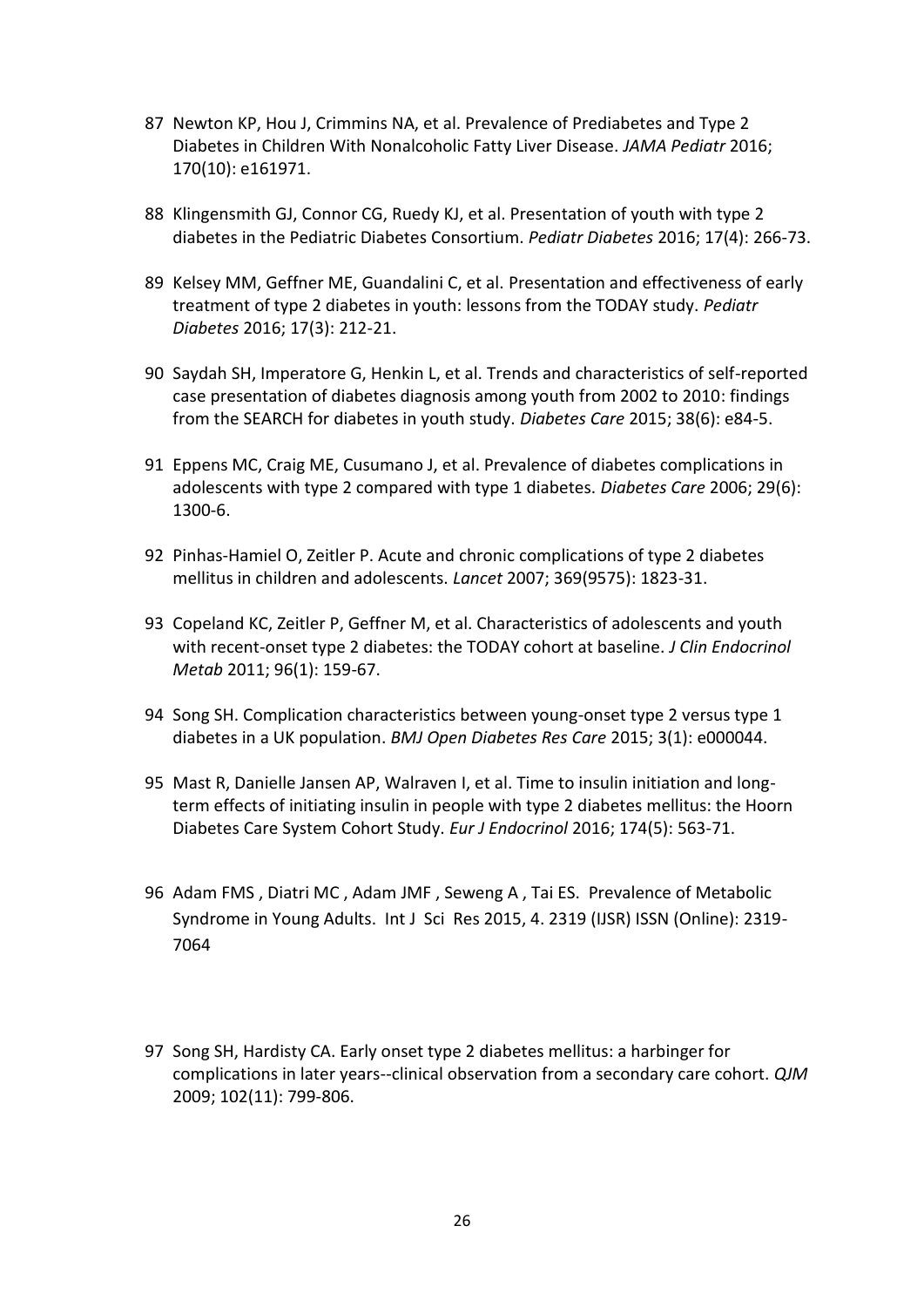- 87 Newton KP, Hou J, Crimmins NA, et al. Prevalence of Prediabetes and Type 2 Diabetes in Children With Nonalcoholic Fatty Liver Disease. *JAMA Pediatr* 2016; 170(10): e161971.
- 88 Klingensmith GJ, Connor CG, Ruedy KJ, et al. Presentation of youth with type 2 diabetes in the Pediatric Diabetes Consortium. *Pediatr Diabetes* 2016; 17(4): 266-73.
- 89 Kelsey MM, Geffner ME, Guandalini C, et al. Presentation and effectiveness of early treatment of type 2 diabetes in youth: lessons from the TODAY study. *Pediatr Diabetes* 2016; 17(3): 212-21.
- 90 Saydah SH, Imperatore G, Henkin L, et al. Trends and characteristics of self-reported case presentation of diabetes diagnosis among youth from 2002 to 2010: findings from the SEARCH for diabetes in youth study. *Diabetes Care* 2015; 38(6): e84-5.
- 91 Eppens MC, Craig ME, Cusumano J, et al. Prevalence of diabetes complications in adolescents with type 2 compared with type 1 diabetes. *Diabetes Care* 2006; 29(6): 1300-6.
- 92 Pinhas-Hamiel O, Zeitler P. Acute and chronic complications of type 2 diabetes mellitus in children and adolescents. *Lancet* 2007; 369(9575): 1823-31.
- 93 Copeland KC, Zeitler P, Geffner M, et al. Characteristics of adolescents and youth with recent-onset type 2 diabetes: the TODAY cohort at baseline. *J Clin Endocrinol Metab* 2011; 96(1): 159-67.
- 94 Song SH. Complication characteristics between young-onset type 2 versus type 1 diabetes in a UK population. *BMJ Open Diabetes Res Care* 2015; 3(1): e000044.
- 95 Mast R, Danielle Jansen AP, Walraven I, et al. Time to insulin initiation and longterm effects of initiating insulin in people with type 2 diabetes mellitus: the Hoorn Diabetes Care System Cohort Study. *Eur J Endocrinol* 2016; 174(5): 563-71.
- 96 Adam FMS , Diatri MC , Adam JMF , Seweng A , Tai ES. Prevalence of Metabolic Syndrome in Young Adults. Int J Sci Res 2015, 4. 2319 (IJSR) ISSN (Online): 2319- 7064
- 97 Song SH, Hardisty CA. Early onset type 2 diabetes mellitus: a harbinger for complications in later years--clinical observation from a secondary care cohort. *QJM* 2009; 102(11): 799-806.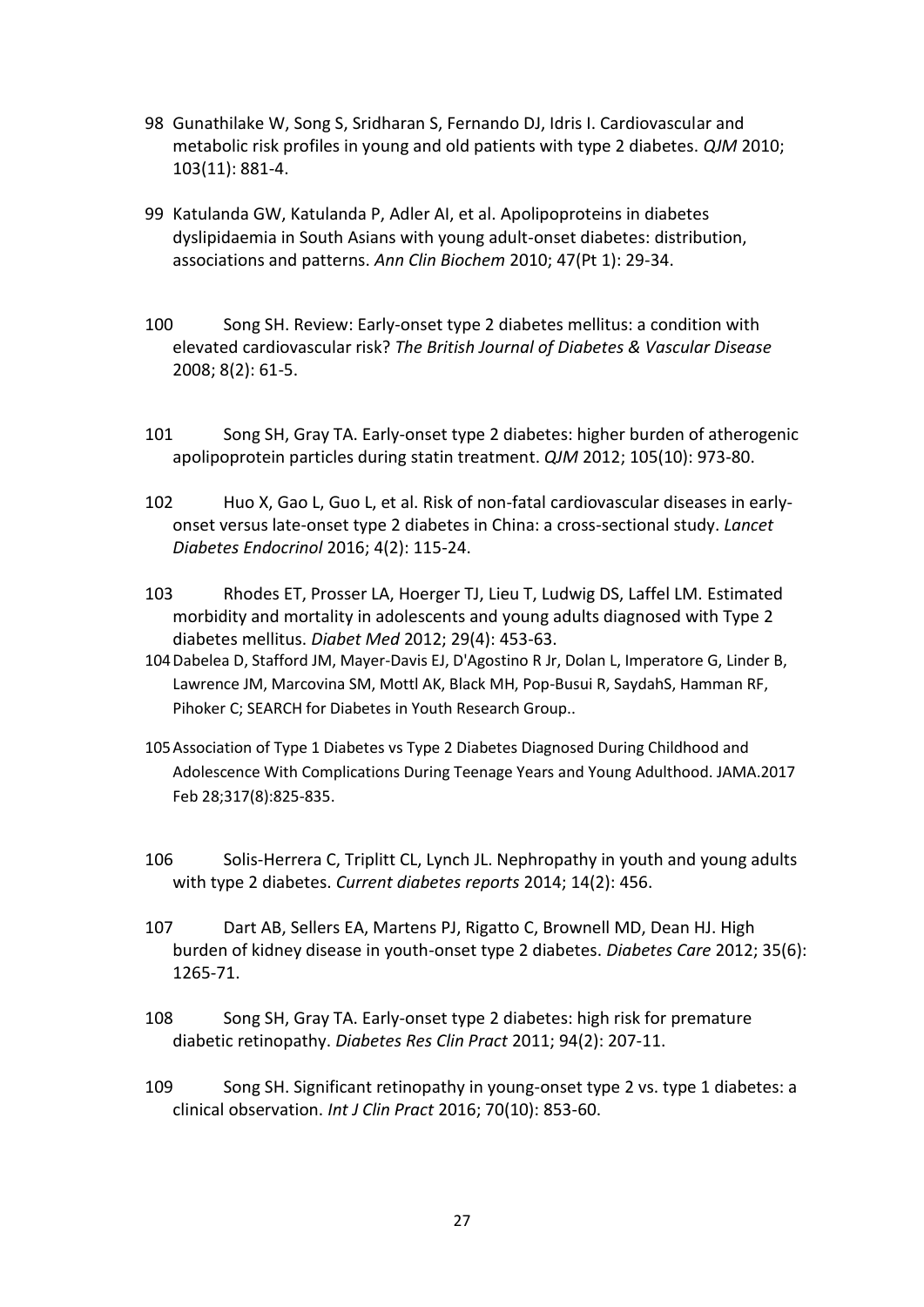- 98 Gunathilake W, Song S, Sridharan S, Fernando DJ, Idris I. Cardiovascular and metabolic risk profiles in young and old patients with type 2 diabetes. *QJM* 2010; 103(11): 881-4.
- 99 Katulanda GW, Katulanda P, Adler AI, et al. Apolipoproteins in diabetes dyslipidaemia in South Asians with young adult-onset diabetes: distribution, associations and patterns. *Ann Clin Biochem* 2010; 47(Pt 1): 29-34.
- 100 Song SH. Review: Early-onset type 2 diabetes mellitus: a condition with elevated cardiovascular risk? *The British Journal of Diabetes & Vascular Disease* 2008; 8(2): 61-5.
- 101 Song SH, Gray TA. Early-onset type 2 diabetes: higher burden of atherogenic apolipoprotein particles during statin treatment. *QJM* 2012; 105(10): 973-80.
- 102 Huo X, Gao L, Guo L, et al. Risk of non-fatal cardiovascular diseases in earlyonset versus late-onset type 2 diabetes in China: a cross-sectional study. *Lancet Diabetes Endocrinol* 2016; 4(2): 115-24.
- 103 Rhodes ET, Prosser LA, Hoerger TJ, Lieu T, Ludwig DS, Laffel LM. Estimated morbidity and mortality in adolescents and young adults diagnosed with Type 2 diabetes mellitus. *Diabet Med* 2012; 29(4): 453-63.
- 104Dabelea D, Stafford JM, Mayer-Davis EJ, D'Agostino R Jr, Dolan L, Imperatore G, Linder B, Lawrence JM, Marcovina SM, Mottl AK, Black MH, Pop-Busui R, SaydahS, Hamman RF, Pihoker C; SEARCH for Diabetes in Youth Research Group..
- 105Association of Type 1 Diabetes vs Type 2 Diabetes Diagnosed During Childhood and Adolescence With Complications During Teenage Years and Young Adulthood. JAMA.2017 Feb 28;317(8):825-835.
- 106 Solis-Herrera C, Triplitt CL, Lynch JL. Nephropathy in youth and young adults with type 2 diabetes. *Current diabetes reports* 2014; 14(2): 456.
- 107 Dart AB, Sellers EA, Martens PJ, Rigatto C, Brownell MD, Dean HJ. High burden of kidney disease in youth-onset type 2 diabetes. *Diabetes Care* 2012; 35(6): 1265-71.
- 108 Song SH, Gray TA. Early-onset type 2 diabetes: high risk for premature diabetic retinopathy. *Diabetes Res Clin Pract* 2011; 94(2): 207-11.
- 109 Song SH. Significant retinopathy in young-onset type 2 vs. type 1 diabetes: a clinical observation. *Int J Clin Pract* 2016; 70(10): 853-60.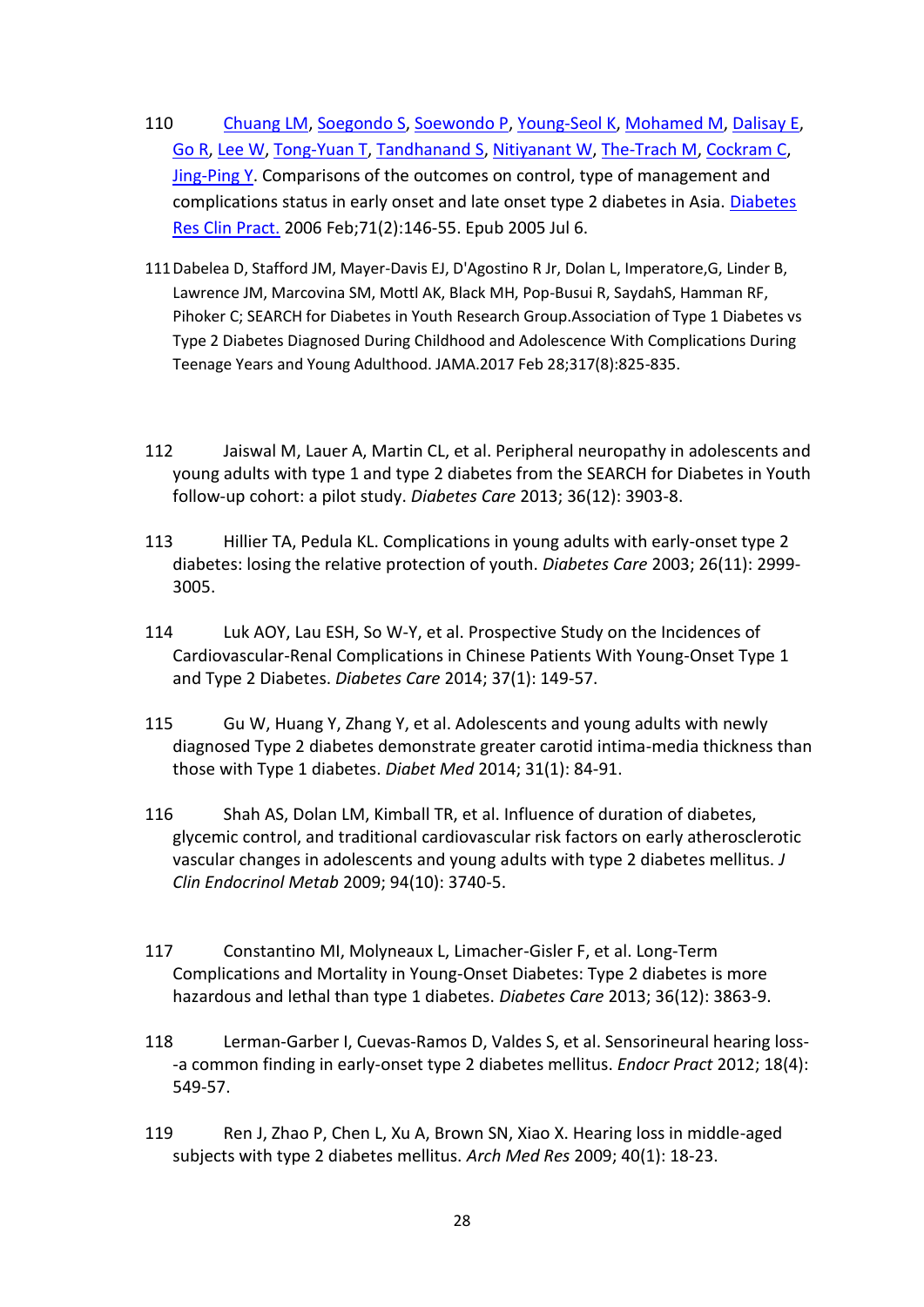- 110 [Chuang LM,](https://www.ncbi.nlm.nih.gov/pubmed/?term=Chuang%20LM%5BAuthor%5D&cauthor=true&cauthor_uid=16005097) [Soegondo S,](https://www.ncbi.nlm.nih.gov/pubmed/?term=Soegondo%20S%5BAuthor%5D&cauthor=true&cauthor_uid=16005097) [Soewondo P,](https://www.ncbi.nlm.nih.gov/pubmed/?term=Soewondo%20P%5BAuthor%5D&cauthor=true&cauthor_uid=16005097) [Young-Seol K,](https://www.ncbi.nlm.nih.gov/pubmed/?term=Young-Seol%20K%5BAuthor%5D&cauthor=true&cauthor_uid=16005097) [Mohamed M,](https://www.ncbi.nlm.nih.gov/pubmed/?term=Mohamed%20M%5BAuthor%5D&cauthor=true&cauthor_uid=16005097) [Dalisay E,](https://www.ncbi.nlm.nih.gov/pubmed/?term=Dalisay%20E%5BAuthor%5D&cauthor=true&cauthor_uid=16005097) [Go R,](https://www.ncbi.nlm.nih.gov/pubmed/?term=Go%20R%5BAuthor%5D&cauthor=true&cauthor_uid=16005097) [Lee W,](https://www.ncbi.nlm.nih.gov/pubmed/?term=Lee%20W%5BAuthor%5D&cauthor=true&cauthor_uid=16005097) [Tong-Yuan T,](https://www.ncbi.nlm.nih.gov/pubmed/?term=Tong-Yuan%20T%5BAuthor%5D&cauthor=true&cauthor_uid=16005097) [Tandhanand S,](https://www.ncbi.nlm.nih.gov/pubmed/?term=Tandhanand%20S%5BAuthor%5D&cauthor=true&cauthor_uid=16005097) [Nitiyanant W,](https://www.ncbi.nlm.nih.gov/pubmed/?term=Nitiyanant%20W%5BAuthor%5D&cauthor=true&cauthor_uid=16005097) [The-Trach M,](https://www.ncbi.nlm.nih.gov/pubmed/?term=The-Trach%20M%5BAuthor%5D&cauthor=true&cauthor_uid=16005097) [Cockram C,](https://www.ncbi.nlm.nih.gov/pubmed/?term=Cockram%20C%5BAuthor%5D&cauthor=true&cauthor_uid=16005097) [Jing-Ping Y.](https://www.ncbi.nlm.nih.gov/pubmed/?term=Jing-Ping%20Y%5BAuthor%5D&cauthor=true&cauthor_uid=16005097) Comparisons of the outcomes on control, type of management and complications status in early onset and late onset type 2 diabetes in Asia. [Diabetes](https://www.ncbi.nlm.nih.gov/pubmed/16005097)  [Res Clin Pract.](https://www.ncbi.nlm.nih.gov/pubmed/16005097) 2006 Feb;71(2):146-55. Epub 2005 Jul 6.
- 111Dabelea D, Stafford JM, Mayer-Davis EJ, D'Agostino R Jr, Dolan L, Imperatore,G, Linder B, Lawrence JM, Marcovina SM, Mottl AK, Black MH, Pop-Busui R, SaydahS, Hamman RF, Pihoker C; SEARCH for Diabetes in Youth Research Group.Association of Type 1 Diabetes vs Type 2 Diabetes Diagnosed During Childhood and Adolescence With Complications During Teenage Years and Young Adulthood. JAMA.2017 Feb 28;317(8):825-835.
- 112 Jaiswal M, Lauer A, Martin CL, et al. Peripheral neuropathy in adolescents and young adults with type 1 and type 2 diabetes from the SEARCH for Diabetes in Youth follow-up cohort: a pilot study. *Diabetes Care* 2013; 36(12): 3903-8.
- 113 Hillier TA, Pedula KL. Complications in young adults with early-onset type 2 diabetes: losing the relative protection of youth. *Diabetes Care* 2003; 26(11): 2999- 3005.
- 114 Luk AOY, Lau ESH, So W-Y, et al. Prospective Study on the Incidences of Cardiovascular-Renal Complications in Chinese Patients With Young-Onset Type 1 and Type 2 Diabetes. *Diabetes Care* 2014; 37(1): 149-57.
- 115 Gu W, Huang Y, Zhang Y, et al. Adolescents and young adults with newly diagnosed Type 2 diabetes demonstrate greater carotid intima-media thickness than those with Type 1 diabetes. *Diabet Med* 2014; 31(1): 84-91.
- 116 Shah AS, Dolan LM, Kimball TR, et al. Influence of duration of diabetes, glycemic control, and traditional cardiovascular risk factors on early atherosclerotic vascular changes in adolescents and young adults with type 2 diabetes mellitus. *J Clin Endocrinol Metab* 2009; 94(10): 3740-5.
- 117 Constantino MI, Molyneaux L, Limacher-Gisler F, et al. Long-Term Complications and Mortality in Young-Onset Diabetes: Type 2 diabetes is more hazardous and lethal than type 1 diabetes. *Diabetes Care* 2013; 36(12): 3863-9.
- 118 Lerman-Garber I, Cuevas-Ramos D, Valdes S, et al. Sensorineural hearing loss- -a common finding in early-onset type 2 diabetes mellitus. *Endocr Pract* 2012; 18(4): 549-57.
- 119 Ren J, Zhao P, Chen L, Xu A, Brown SN, Xiao X. Hearing loss in middle-aged subjects with type 2 diabetes mellitus. *Arch Med Res* 2009; 40(1): 18-23.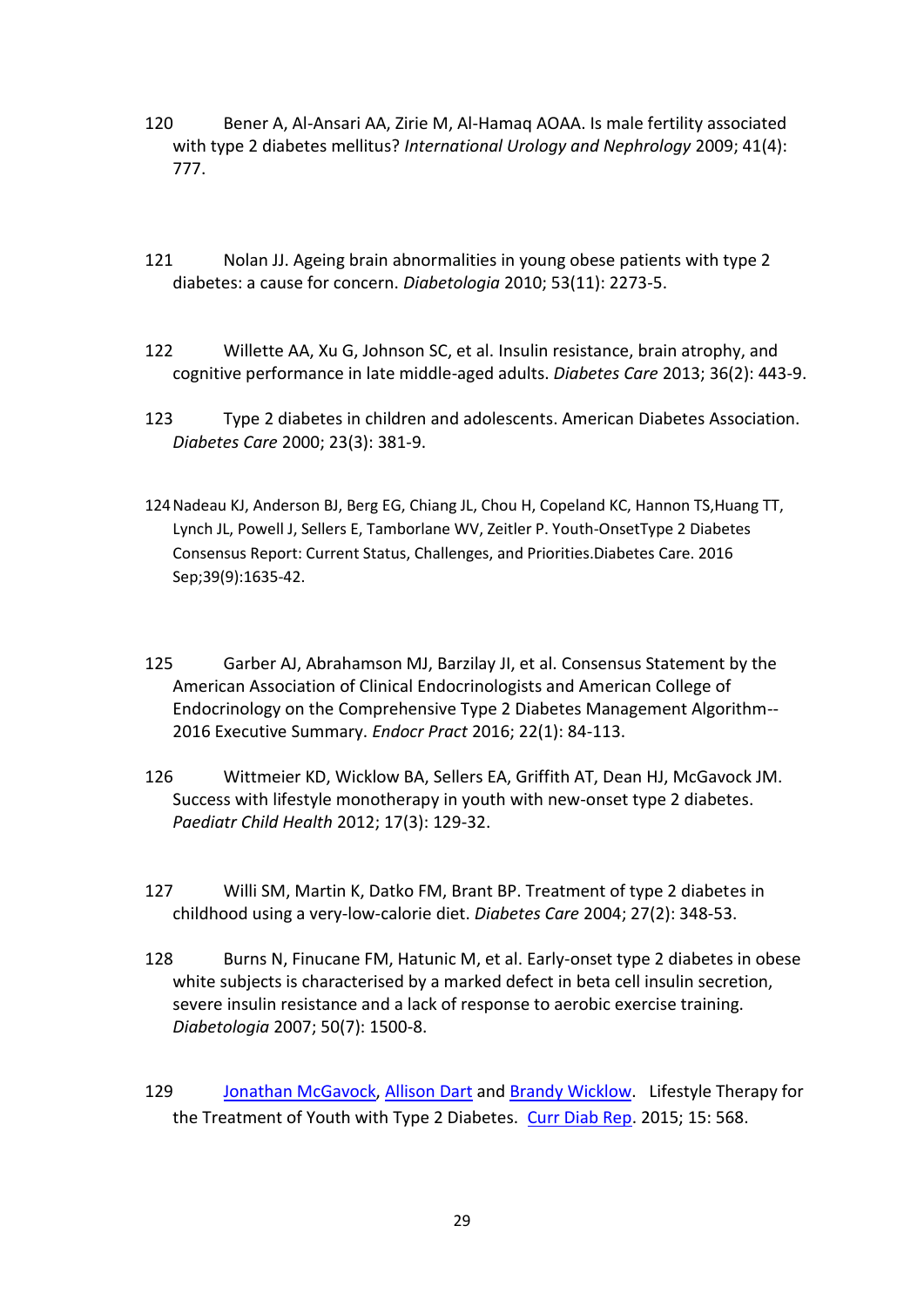- 120 Bener A, Al-Ansari AA, Zirie M, Al-Hamaq AOAA. Is male fertility associated with type 2 diabetes mellitus? *International Urology and Nephrology* 2009; 41(4): 777.
- 121 Nolan JJ. Ageing brain abnormalities in young obese patients with type 2 diabetes: a cause for concern. *Diabetologia* 2010; 53(11): 2273-5.
- 122 Willette AA, Xu G, Johnson SC, et al. Insulin resistance, brain atrophy, and cognitive performance in late middle-aged adults. *Diabetes Care* 2013; 36(2): 443-9.
- 123 Type 2 diabetes in children and adolescents. American Diabetes Association. *Diabetes Care* 2000; 23(3): 381-9.
- 124Nadeau KJ, Anderson BJ, Berg EG, Chiang JL, Chou H, Copeland KC, Hannon TS,Huang TT, Lynch JL, Powell J, Sellers E, Tamborlane WV, Zeitler P. Youth-OnsetType 2 Diabetes Consensus Report: Current Status, Challenges, and Priorities.Diabetes Care. 2016 Sep;39(9):1635-42.
- 125 Garber AJ, Abrahamson MJ, Barzilay JI, et al. Consensus Statement by the American Association of Clinical Endocrinologists and American College of Endocrinology on the Comprehensive Type 2 Diabetes Management Algorithm-- 2016 Executive Summary. *Endocr Pract* 2016; 22(1): 84-113.
- 126 Wittmeier KD, Wicklow BA, Sellers EA, Griffith AT, Dean HJ, McGavock JM. Success with lifestyle monotherapy in youth with new-onset type 2 diabetes. *Paediatr Child Health* 2012; 17(3): 129-32.
- 127 Willi SM, Martin K, Datko FM, Brant BP. Treatment of type 2 diabetes in childhood using a very-low-calorie diet. *Diabetes Care* 2004; 27(2): 348-53.
- 128 Burns N, Finucane FM, Hatunic M, et al. Early-onset type 2 diabetes in obese white subjects is characterised by a marked defect in beta cell insulin secretion, severe insulin resistance and a lack of response to aerobic exercise training. *Diabetologia* 2007; 50(7): 1500-8.
- 129 [Jonathan McGavock,](https://www.ncbi.nlm.nih.gov/pubmed/?term=McGavock%20J%5BAuthor%5D&cauthor=true&cauthor_uid=25398207) [Allison Dart](https://www.ncbi.nlm.nih.gov/pubmed/?term=Dart%20A%5BAuthor%5D&cauthor=true&cauthor_uid=25398207) and [Brandy Wicklow.](https://www.ncbi.nlm.nih.gov/pubmed/?term=Wicklow%20B%5BAuthor%5D&cauthor=true&cauthor_uid=25398207) Lifestyle Therapy for the Treatment of Youth with Type 2 Diabetes. [Curr Diab Rep.](https://www.ncbi.nlm.nih.gov/pmc/articles/PMC4232742/) 2015; 15: 568.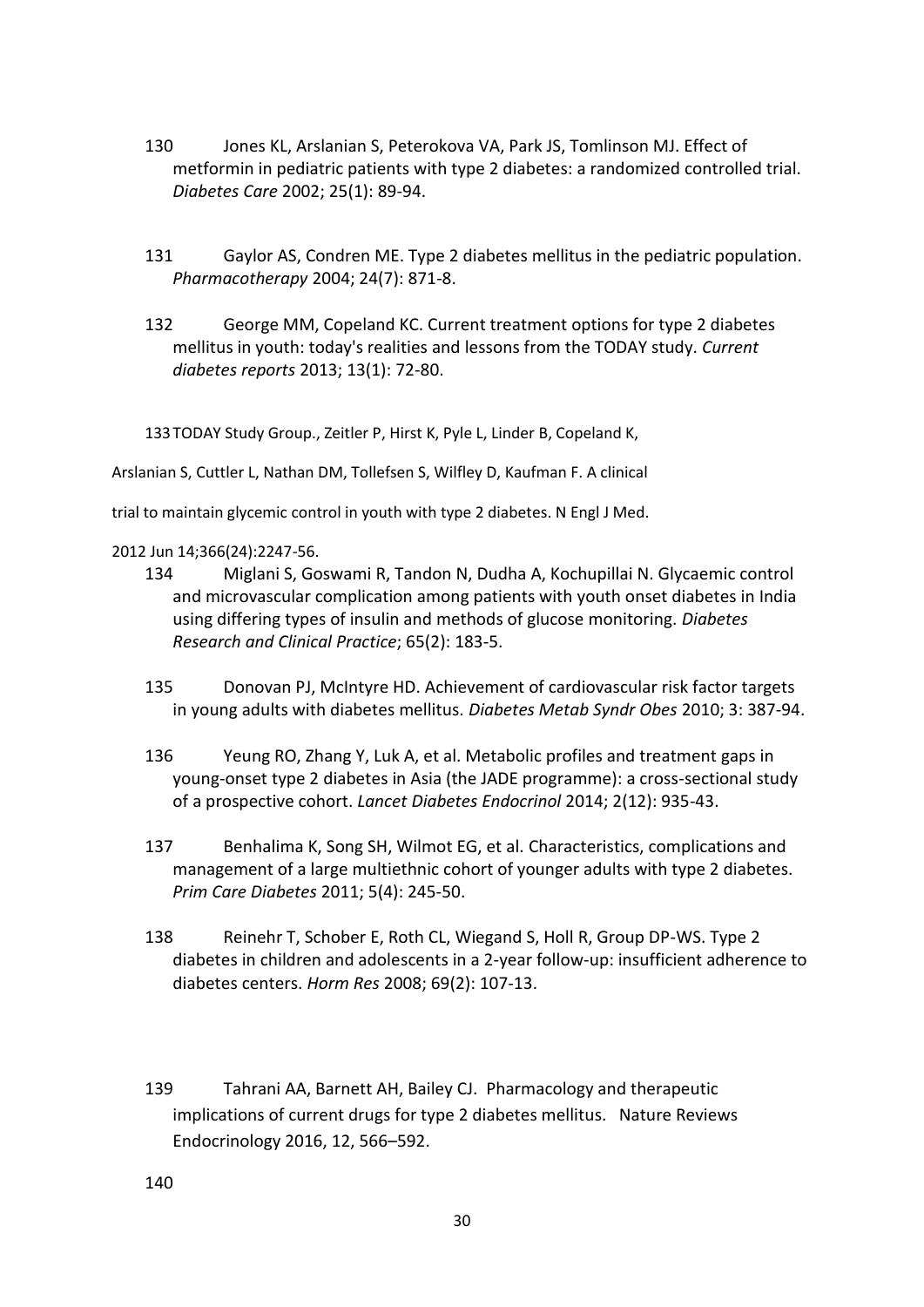- 130 Jones KL, Arslanian S, Peterokova VA, Park JS, Tomlinson MJ. Effect of metformin in pediatric patients with type 2 diabetes: a randomized controlled trial. *Diabetes Care* 2002; 25(1): 89-94.
- 131 Gaylor AS, Condren ME. Type 2 diabetes mellitus in the pediatric population. *Pharmacotherapy* 2004; 24(7): 871-8.
- 132 George MM, Copeland KC. Current treatment options for type 2 diabetes mellitus in youth: today's realities and lessons from the TODAY study. *Current diabetes reports* 2013; 13(1): 72-80.

133TODAY Study Group., Zeitler P, Hirst K, Pyle L, Linder B, Copeland K,

Arslanian S, Cuttler L, Nathan DM, Tollefsen S, Wilfley D, Kaufman F. A clinical

trial to maintain glycemic control in youth with type 2 diabetes. N Engl J Med.

## 2012 Jun 14;366(24):2247-56.

- 134 Miglani S, Goswami R, Tandon N, Dudha A, Kochupillai N. Glycaemic control and microvascular complication among patients with youth onset diabetes in India using differing types of insulin and methods of glucose monitoring. *Diabetes Research and Clinical Practice*; 65(2): 183-5.
- 135 Donovan PJ, McIntyre HD. Achievement of cardiovascular risk factor targets in young adults with diabetes mellitus. *Diabetes Metab Syndr Obes* 2010; 3: 387-94.
- 136 Yeung RO, Zhang Y, Luk A, et al. Metabolic profiles and treatment gaps in young-onset type 2 diabetes in Asia (the JADE programme): a cross-sectional study of a prospective cohort. *Lancet Diabetes Endocrinol* 2014; 2(12): 935-43.
- 137 Benhalima K, Song SH, Wilmot EG, et al. Characteristics, complications and management of a large multiethnic cohort of younger adults with type 2 diabetes. *Prim Care Diabetes* 2011; 5(4): 245-50.
- 138 Reinehr T, Schober E, Roth CL, Wiegand S, Holl R, Group DP-WS. Type 2 diabetes in children and adolescents in a 2-year follow-up: insufficient adherence to diabetes centers. *Horm Res* 2008; 69(2): 107-13.
- 139 Tahrani AA, Barnett AH, Bailey CJ. Pharmacology and therapeutic implications of current drugs for type 2 diabetes mellitus. Nature Reviews Endocrinology 2016, 12, 566–592.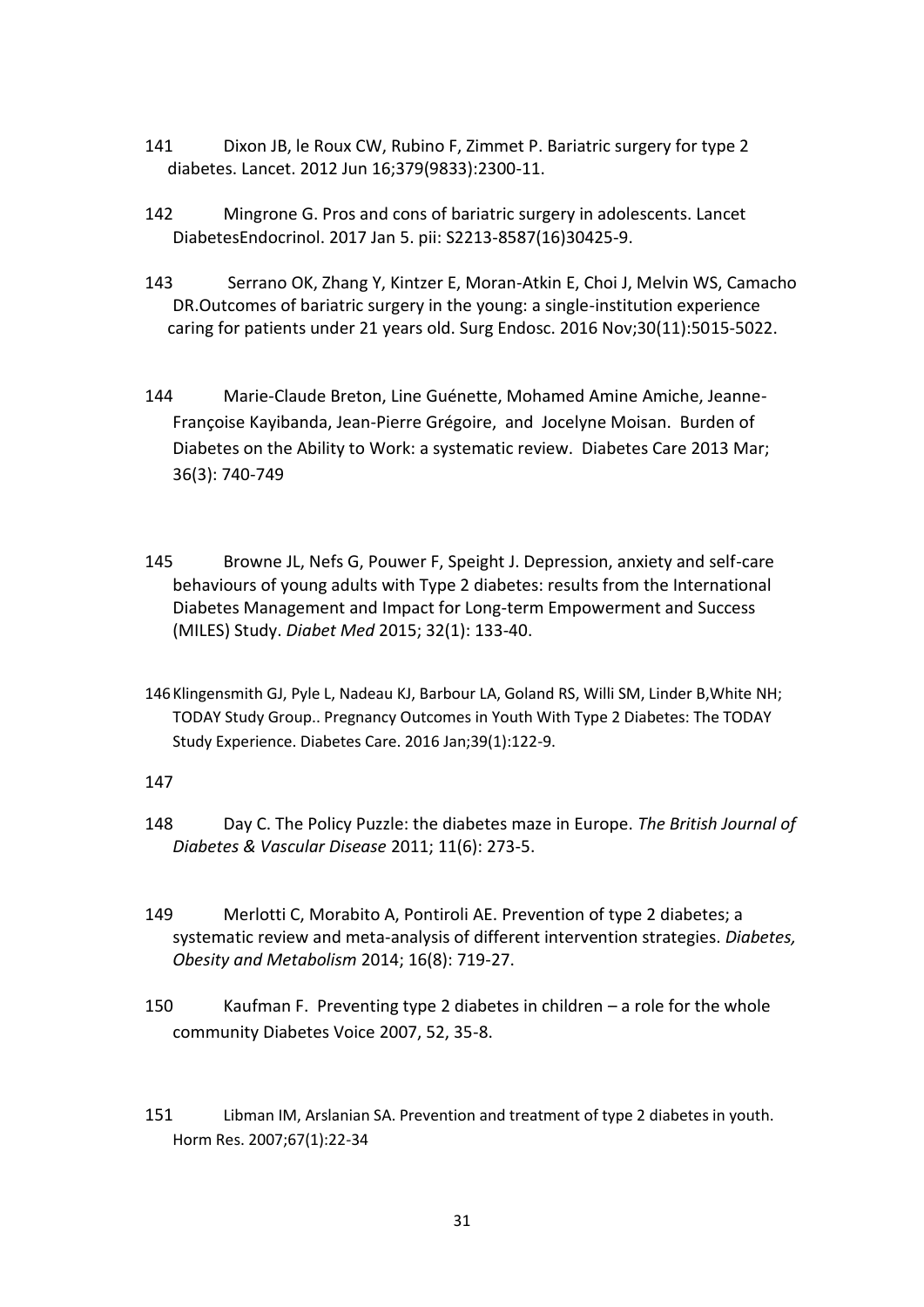- 141 Dixon JB, le Roux CW, Rubino F, Zimmet P. Bariatric surgery for type 2 diabetes. Lancet. 2012 Jun 16;379(9833):2300-11.
- 142 Mingrone G. Pros and cons of bariatric surgery in adolescents. Lancet DiabetesEndocrinol. 2017 Jan 5. pii: S2213-8587(16)30425-9.
- 143 Serrano OK, Zhang Y, Kintzer E, Moran-Atkin E, Choi J, Melvin WS, Camacho DR.Outcomes of bariatric surgery in the young: a single-institution experience caring for patients under 21 years old. Surg Endosc. 2016 Nov;30(11):5015-5022.
- 144 Marie-Claude Breton, Line Guénette, Mohamed Amine Amiche, Jeanne-Françoise Kayibanda, Jean-Pierre Grégoire, and Jocelyne Moisan. Burden of Diabetes on the Ability to Work: a systematic review. Diabetes Care 2013 Mar; 36(3): 740-749
- 145 Browne JL, Nefs G, Pouwer F, Speight J. Depression, anxiety and self-care behaviours of young adults with Type 2 diabetes: results from the International Diabetes Management and Impact for Long-term Empowerment and Success (MILES) Study. *Diabet Med* 2015; 32(1): 133-40.
- 146Klingensmith GJ, Pyle L, Nadeau KJ, Barbour LA, Goland RS, Willi SM, Linder B,White NH; TODAY Study Group.. Pregnancy Outcomes in Youth With Type 2 Diabetes: The TODAY Study Experience. Diabetes Care. 2016 Jan;39(1):122-9.

# 147

- 148 Day C. The Policy Puzzle: the diabetes maze in Europe. *The British Journal of Diabetes & Vascular Disease* 2011; 11(6): 273-5.
- 149 Merlotti C, Morabito A, Pontiroli AE. Prevention of type 2 diabetes; a systematic review and meta-analysis of different intervention strategies. *Diabetes, Obesity and Metabolism* 2014; 16(8): 719-27.
- 150 Kaufman F. Preventing type 2 diabetes in children a role for the whole community Diabetes Voice 2007, 52, 35-8.
- 151 Libman IM, Arslanian SA. Prevention and treatment of type 2 diabetes in youth. Horm Res. 2007;67(1):22-34